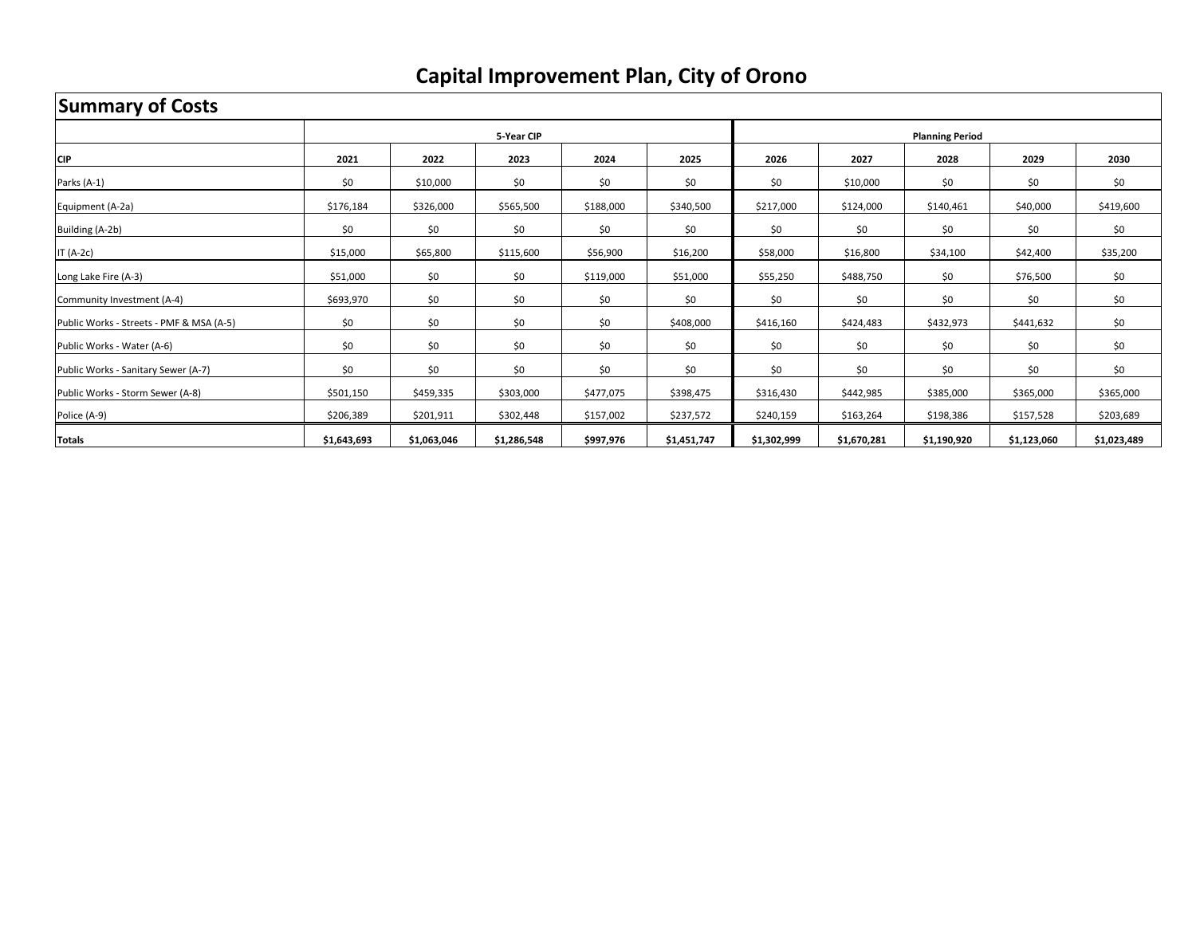| <b>Summary of Costs</b>                  |             |             |             |           |             |             |             |                        |             |             |
|------------------------------------------|-------------|-------------|-------------|-----------|-------------|-------------|-------------|------------------------|-------------|-------------|
|                                          |             |             | 5-Year CIP  |           |             |             |             | <b>Planning Period</b> |             |             |
| <b>CIP</b>                               | 2021        | 2022        | 2023        | 2024      | 2025        | 2026        | 2027        | 2028                   | 2029        | 2030        |
| Parks (A-1)                              | \$0         | \$10,000    | \$0         | \$0       | \$0         | \$0         | \$10,000    | \$0                    | \$0         | \$0         |
| Equipment (A-2a)                         | \$176,184   | \$326,000   | \$565,500   | \$188,000 | \$340,500   | \$217,000   | \$124,000   | \$140,461              | \$40,000    | \$419,600   |
| Building (A-2b)                          | \$0         | \$0         | \$0         | \$0       | \$0         | \$0         | \$0         | \$0                    | \$0         | \$0         |
| IT (A-2c)                                | \$15,000    | \$65,800    | \$115,600   | \$56,900  | \$16,200    | \$58,000    | \$16,800    | \$34,100               | \$42,400    | \$35,200    |
| Long Lake Fire (A-3)                     | \$51,000    | \$0         | \$0         | \$119,000 | \$51,000    | \$55,250    | \$488,750   | \$0                    | \$76,500    | \$0         |
| Community Investment (A-4)               | \$693,970   | \$0         | \$0         | \$0       | \$0         | \$0         | \$0         | \$0                    | \$0         | \$0         |
| Public Works - Streets - PMF & MSA (A-5) | \$0         | \$0         | \$0         | \$0       | \$408,000   | \$416,160   | \$424,483   | \$432,973              | \$441,632   | \$0         |
| Public Works - Water (A-6)               | \$0         | \$0         | \$0         | \$0       | \$0         | \$0         | \$0         | \$0                    | \$0         | \$0         |
| Public Works - Sanitary Sewer (A-7)      | \$0         | \$0         | \$0         | \$0       | \$0         | \$0         | \$0         | \$0                    | \$0         | \$0         |
| Public Works - Storm Sewer (A-8)         | \$501,150   | \$459,335   | \$303,000   | \$477,075 | \$398,475   | \$316,430   | \$442,985   | \$385,000              | \$365,000   | \$365,000   |
| Police (A-9)                             | \$206,389   | \$201,911   | \$302,448   | \$157,002 | \$237,572   | \$240,159   | \$163,264   | \$198,386              | \$157,528   | \$203,689   |
| <b>Totals</b>                            | \$1,643,693 | \$1,063,046 | \$1,286,548 | \$997,976 | \$1,451,747 | \$1,302,999 | \$1,670,281 | \$1,190,920            | \$1,123,060 | \$1,023,489 |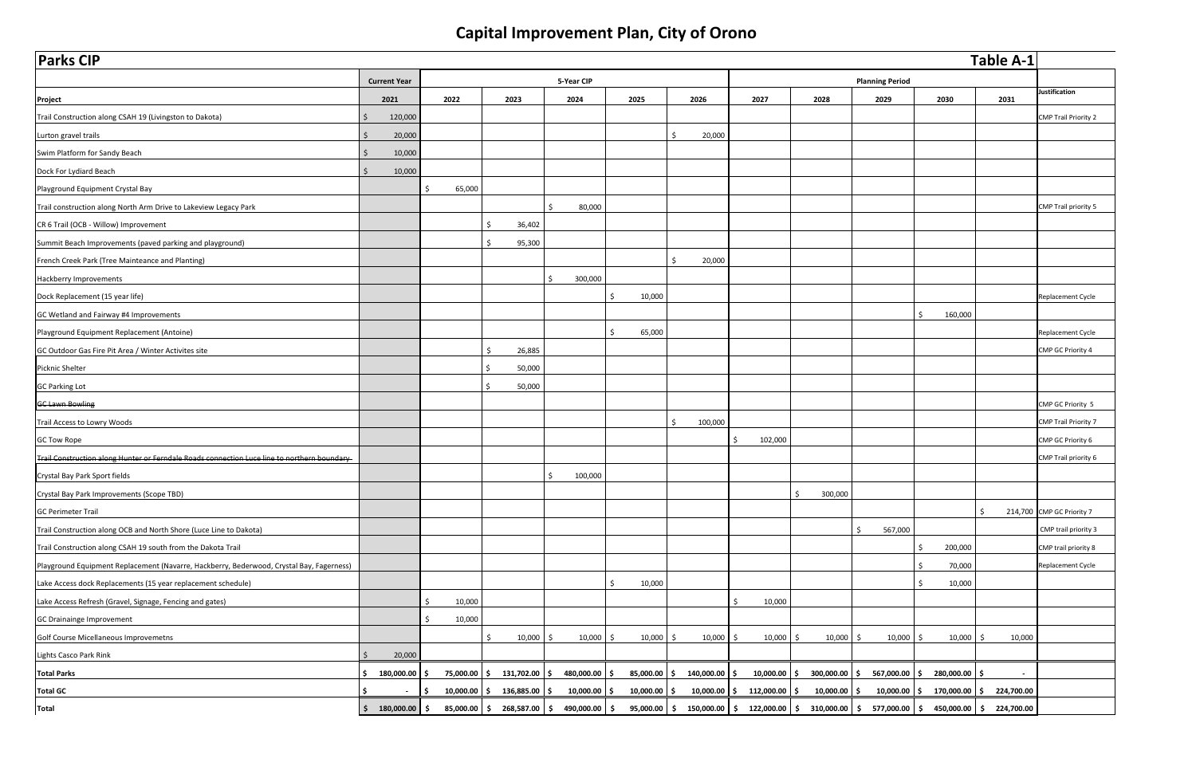| <b>Parks CIP</b>                                                                            |                     |     |        |    |                              |      |                                            |      |                                                                                                 |             |    |                                                          |     |                              |    |                        |    |                             |    | <b>Table A-1</b> |                             |
|---------------------------------------------------------------------------------------------|---------------------|-----|--------|----|------------------------------|------|--------------------------------------------|------|-------------------------------------------------------------------------------------------------|-------------|----|----------------------------------------------------------|-----|------------------------------|----|------------------------|----|-----------------------------|----|------------------|-----------------------------|
|                                                                                             | <b>Current Year</b> |     |        |    |                              |      | 5-Year CIP                                 |      |                                                                                                 |             |    |                                                          |     |                              |    | <b>Planning Period</b> |    |                             |    |                  |                             |
| Project                                                                                     | 2021                |     | 2022   |    | 2023                         |      | 2024                                       |      | 2025                                                                                            | 2026        |    | 2027                                                     |     | 2028                         |    | 2029                   |    | 2030                        |    | 2031             | Justification               |
| Trail Construction along CSAH 19 (Livingston to Dakota)                                     | 120,000             |     |        |    |                              |      |                                            |      |                                                                                                 |             |    |                                                          |     |                              |    |                        |    |                             |    |                  | <b>CMP Trail Priority 2</b> |
| Lurton gravel trails                                                                        | 20,000              |     |        |    |                              |      |                                            |      | \$                                                                                              | 20,000      |    |                                                          |     |                              |    |                        |    |                             |    |                  |                             |
| Swim Platform for Sandy Beach                                                               | 10,000              |     |        |    |                              |      |                                            |      |                                                                                                 |             |    |                                                          |     |                              |    |                        |    |                             |    |                  |                             |
| Dock For Lydiard Beach                                                                      | 10,000              |     |        |    |                              |      |                                            |      |                                                                                                 |             |    |                                                          |     |                              |    |                        |    |                             |    |                  |                             |
| Playground Equipment Crystal Bay                                                            |                     | S   | 65,000 |    |                              |      |                                            |      |                                                                                                 |             |    |                                                          |     |                              |    |                        |    |                             |    |                  |                             |
| Trail construction along North Arm Drive to Lakeview Legacy Park                            |                     |     |        |    |                              | Ś    | 80,000                                     |      |                                                                                                 |             |    |                                                          |     |                              |    |                        |    |                             |    |                  | <b>CMP Trail priority 5</b> |
| CR 6 Trail (OCB - Willow) Improvement                                                       |                     |     |        | Ś  | 36,402                       |      |                                            |      |                                                                                                 |             |    |                                                          |     |                              |    |                        |    |                             |    |                  |                             |
| Summit Beach Improvements (paved parking and playground)                                    |                     |     |        | Ś  | 95,300                       |      |                                            |      |                                                                                                 |             |    |                                                          |     |                              |    |                        |    |                             |    |                  |                             |
| French Creek Park (Tree Mainteance and Planting)                                            |                     |     |        |    |                              |      |                                            |      | \$                                                                                              | 20,000      |    |                                                          |     |                              |    |                        |    |                             |    |                  |                             |
| Hackberry Improvements                                                                      |                     |     |        |    |                              |      | 300,000                                    |      |                                                                                                 |             |    |                                                          |     |                              |    |                        |    |                             |    |                  |                             |
| Dock Replacement (15 year life)                                                             |                     |     |        |    |                              |      |                                            | Ś.   | 10,000                                                                                          |             |    |                                                          |     |                              |    |                        |    |                             |    |                  | Replacement Cycle           |
| GC Wetland and Fairway #4 Improvements                                                      |                     |     |        |    |                              |      |                                            |      |                                                                                                 |             |    |                                                          |     |                              |    |                        | \$ | 160,000                     |    |                  |                             |
| Playground Equipment Replacement (Antoine)                                                  |                     |     |        |    |                              |      |                                            | Ŝ.   | 65,000                                                                                          |             |    |                                                          |     |                              |    |                        |    |                             |    |                  | <b>Replacement Cycle</b>    |
| GC Outdoor Gas Fire Pit Area / Winter Activites site                                        |                     |     |        | Ś  | 26,885                       |      |                                            |      |                                                                                                 |             |    |                                                          |     |                              |    |                        |    |                             |    |                  | CMP GC Priority 4           |
| <b>Picknic Shelter</b>                                                                      |                     |     |        |    | 50,000                       |      |                                            |      |                                                                                                 |             |    |                                                          |     |                              |    |                        |    |                             |    |                  |                             |
| <b>GC Parking Lot</b>                                                                       |                     |     |        |    | 50,000                       |      |                                            |      |                                                                                                 |             |    |                                                          |     |                              |    |                        |    |                             |    |                  |                             |
| <b>GC Lawn Bowling</b>                                                                      |                     |     |        |    |                              |      |                                            |      |                                                                                                 |             |    |                                                          |     |                              |    |                        |    |                             |    |                  | CMP GC Priority 5           |
| Trail Access to Lowry Woods                                                                 |                     |     |        |    |                              |      |                                            |      | \$                                                                                              | 100,000     |    |                                                          |     |                              |    |                        |    |                             |    |                  | CMP Trail Priority 7        |
| <b>GC Tow Rope</b>                                                                          |                     |     |        |    |                              |      |                                            |      |                                                                                                 |             | Ś. | 102,000                                                  |     |                              |    |                        |    |                             |    |                  | CMP GC Priority 6           |
| Trail Construction along Hunter or Ferndale Roads connection Luce line to northern boundary |                     |     |        |    |                              |      |                                            |      |                                                                                                 |             |    |                                                          |     |                              |    |                        |    |                             |    |                  | CMP Trail priority 6        |
| Crystal Bay Park Sport fields                                                               |                     |     |        |    |                              | \$   | 100,000                                    |      |                                                                                                 |             |    |                                                          |     |                              |    |                        |    |                             |    |                  |                             |
| Crystal Bay Park Improvements (Scope TBD)                                                   |                     |     |        |    |                              |      |                                            |      |                                                                                                 |             |    |                                                          | -\$ | 300,000                      |    |                        |    |                             |    |                  |                             |
| <b>GC Perimeter Trail</b>                                                                   |                     |     |        |    |                              |      |                                            |      |                                                                                                 |             |    |                                                          |     |                              |    |                        |    |                             | -S |                  | 214,700 CMP GC Priority 7   |
| Trail Construction along OCB and North Shore (Luce Line to Dakota)                          |                     |     |        |    |                              |      |                                            |      |                                                                                                 |             |    |                                                          |     |                              | Ŝ. | 567,000                |    |                             |    |                  | CMP trail priority 3        |
| Trail Construction along CSAH 19 south from the Dakota Trail                                |                     |     |        |    |                              |      |                                            |      |                                                                                                 |             |    |                                                          |     |                              |    |                        | \$ | 200,000                     |    |                  | CMP trail priority 8        |
| Playground Equipment Replacement (Navarre, Hackberry, Bederwood, Crystal Bay, Fagerness)    |                     |     |        |    |                              |      |                                            |      |                                                                                                 |             |    |                                                          |     |                              |    |                        | Ŝ. | 70,000                      |    |                  | Replacement Cycle           |
| Lake Access dock Replacements (15 year replacement schedule)                                |                     |     |        |    |                              |      |                                            | \$   | 10,000                                                                                          |             |    |                                                          |     |                              |    |                        | \$ | 10,000                      |    |                  |                             |
| Lake Access Refresh (Gravel, Signage, Fencing and gates)                                    |                     |     | 10,000 |    |                              |      |                                            |      |                                                                                                 |             | \$ | 10,000                                                   |     |                              |    |                        |    |                             |    |                  |                             |
| GC Drainainge Improvement                                                                   |                     |     | 10,000 |    |                              |      |                                            |      |                                                                                                 |             |    |                                                          |     |                              |    |                        |    |                             |    |                  |                             |
| Golf Course Micellaneous Improvemetns                                                       |                     |     |        | Ś. | 10,000                       | l \$ | $10,000$ \$                                |      | $10,000$ \$                                                                                     | $10,000$ \$ |    | $10,000$ \$                                              |     | 10,000                       | \$ | $10,000$ \$            |    | 10,000                      | S. | 10,000           |                             |
| Lights Casco Park Rink                                                                      | 20,000              |     |        |    |                              |      |                                            |      |                                                                                                 |             |    |                                                          |     |                              |    |                        |    |                             |    |                  |                             |
| <b>Total Parks</b>                                                                          | \$180,000.00        | l S |        |    | 75,000.00 \$ 131,702.00 \$   |      | 480,000.00                                 | l \$ | 85,000.00 \$ 140,000.00 \$                                                                      |             |    |                                                          |     | $10,000.00$ \$ 300,000.00 \$ |    |                        |    | 567,000.00 \$ 280,000.00 \$ |    | $\sim$           |                             |
| <b>Total GC</b>                                                                             | $\sim$              | I\$ |        |    | $10,000.00$ \$ 136,885.00 \$ |      | $10,000.00$ \$                             |      | $10,000.00$ \$                                                                                  |             |    | 10,000.00 $\vert \xi \vert$ 112,000.00 $\vert \xi \vert$ |     | 10,000.00 \$                 |    |                        |    | 10,000.00 \$170,000.00 \$   |    | 224,700.00       |                             |
| Total                                                                                       | $$180,000.00$ \$    |     |        |    |                              |      | $85,000.00$ \$ 268,587.00 \$ 490,000.00 \$ |      | $95,000.00$ \$ 150,000.00 \$ 122,000.00 \$ 310,000.00 \$ 577,000.00 \$ 450,000.00 \$ 224,700.00 |             |    |                                                          |     |                              |    |                        |    |                             |    |                  |                             |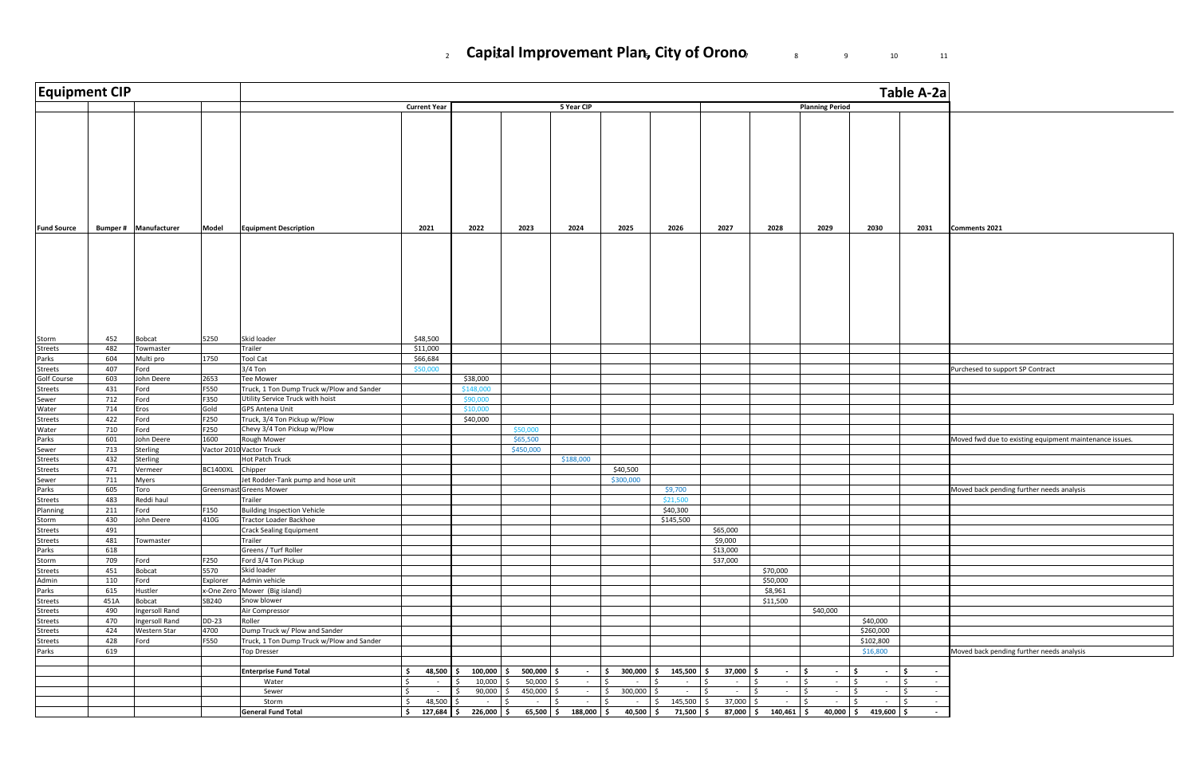## 2 **Capital Improvement Plan, City of Orono** 2 3 8 3 10 11

| <b>Equipment CIP</b>    |             |                              |                 |                                                                               | Table A-2a                                    |                       |                                                   |                                                 |                                |                                                 |                         |                                                              |                  |                                                         |
|-------------------------|-------------|------------------------------|-----------------|-------------------------------------------------------------------------------|-----------------------------------------------|-----------------------|---------------------------------------------------|-------------------------------------------------|--------------------------------|-------------------------------------------------|-------------------------|--------------------------------------------------------------|------------------|---------------------------------------------------------|
|                         |             |                              |                 |                                                                               | <b>Current Year</b>                           |                       | 5 Year CIP                                        |                                                 |                                |                                                 | <b>Planning Period</b>  |                                                              |                  |                                                         |
| <b>Fund Source</b>      |             | <b>Bumper # Manufacturer</b> | Model           | <b>Equipment Description</b>                                                  | 2021                                          | 2022                  | 2023<br>2024                                      | 2025                                            | 2026                           | 2027<br>2028                                    | 2029                    | 2030                                                         | 2031             | Comments 2021                                           |
|                         |             |                              |                 |                                                                               |                                               |                       |                                                   |                                                 |                                |                                                 |                         |                                                              |                  |                                                         |
|                         |             |                              |                 |                                                                               |                                               |                       |                                                   |                                                 |                                |                                                 |                         |                                                              |                  |                                                         |
| Storm                   | 452         | <b>Bobcat</b>                | 5250            | Skid loader                                                                   | \$48,500                                      |                       |                                                   |                                                 |                                |                                                 |                         |                                                              |                  |                                                         |
| <b>Streets</b>          | 482         | Towmaster                    |                 | Trailer                                                                       | \$11,000                                      |                       |                                                   |                                                 |                                |                                                 |                         |                                                              |                  |                                                         |
| Parks                   | 604         | Multi pro                    | 1750            | <b>Tool Cat</b>                                                               | \$66,684                                      |                       |                                                   |                                                 |                                |                                                 |                         |                                                              |                  |                                                         |
| <b>Streets</b>          | 407         | Ford                         |                 | $3/4$ Ton                                                                     | \$50,000                                      |                       |                                                   |                                                 |                                |                                                 |                         |                                                              |                  | Purchesed to support SP Contract                        |
| Golf Course             | 603         | John Deere                   | 2653            | Tee Mower                                                                     |                                               | \$38,000              |                                                   |                                                 |                                |                                                 |                         |                                                              |                  |                                                         |
| <b>Streets</b><br>Sewer | 431<br>712  | Ford<br>Ford                 | F550<br>F350    | Truck, 1 Ton Dump Truck w/Plow and Sander<br>Utility Service Truck with hoist |                                               | \$148,000<br>\$90,000 |                                                   |                                                 |                                |                                                 |                         |                                                              |                  |                                                         |
| Water                   | 714         | Eros                         | Gold            | <b>GPS Antena Unit</b>                                                        |                                               | \$10,000              |                                                   |                                                 |                                |                                                 |                         |                                                              |                  |                                                         |
| <b>Streets</b>          | 422         | Ford                         | F250            | Truck, 3/4 Ton Pickup w/Plow                                                  |                                               | \$40,000              |                                                   |                                                 |                                |                                                 |                         |                                                              |                  |                                                         |
| Water                   | 710         | Ford                         | F250            | Chevy 3/4 Ton Pickup w/Plow                                                   |                                               |                       | \$50,000                                          |                                                 |                                |                                                 |                         |                                                              |                  |                                                         |
| Parks                   | 601         | John Deere                   | 1600            | Rough Mower                                                                   |                                               |                       | \$65,500                                          |                                                 |                                |                                                 |                         |                                                              |                  | Moved fwd due to existing equipment maintenance issues. |
| Sewer                   | 713         | Sterling                     |                 | Vactor 2010 Vactor Truck                                                      |                                               |                       | \$450,000                                         |                                                 |                                |                                                 |                         |                                                              |                  |                                                         |
| Streets                 | 432         | Sterling                     |                 | Hot Patch Truck                                                               |                                               |                       | \$188,000                                         |                                                 |                                |                                                 |                         |                                                              |                  |                                                         |
| <b>Streets</b>          | 471         | Vermeer                      | <b>BC1400XL</b> | Chipper                                                                       |                                               |                       |                                                   | \$40,500                                        |                                |                                                 |                         |                                                              |                  |                                                         |
| Sewer                   | 711         | Myers                        |                 | Jet Rodder-Tank pump and hose unit                                            |                                               |                       |                                                   | \$300,000                                       |                                |                                                 |                         |                                                              |                  |                                                         |
| Parks                   | 605         | Toro                         |                 | <b>Greensmast Greens Mower</b><br>Trailer                                     |                                               |                       |                                                   |                                                 | \$9,700                        |                                                 |                         |                                                              |                  | Moved back pending further needs analysis               |
| Streets<br>Planning     | 483<br>211  | Reddi haul<br>Ford           | F150            | <b>Building Inspection Vehicle</b>                                            |                                               |                       |                                                   |                                                 | \$21,500<br>\$40,300           |                                                 |                         |                                                              |                  |                                                         |
| Storm                   | 430         | John Deere                   | 410G            | Tractor Loader Backhoe                                                        |                                               |                       |                                                   |                                                 | \$145,500                      |                                                 |                         |                                                              |                  |                                                         |
| <b>Streets</b>          | 491         |                              |                 | <b>Crack Sealing Equipment</b>                                                |                                               |                       |                                                   |                                                 |                                | \$65,000                                        |                         |                                                              |                  |                                                         |
| <b>Streets</b>          | 481         | Towmaster                    |                 | Trailer                                                                       |                                               |                       |                                                   |                                                 |                                | \$9,000                                         |                         |                                                              |                  |                                                         |
| Parks                   | 618         |                              |                 | Greens / Turf Roller                                                          |                                               |                       |                                                   |                                                 |                                | \$13,000                                        |                         |                                                              |                  |                                                         |
| Storm                   | 709         | Ford                         | F250            | Ford 3/4 Ton Pickup                                                           |                                               |                       |                                                   |                                                 |                                | \$37,000                                        |                         |                                                              |                  |                                                         |
| <b>Streets</b>          | 451         | <b>Bobcat</b>                | 5570            | Skid loader                                                                   |                                               |                       |                                                   |                                                 |                                | \$70,000                                        |                         |                                                              |                  |                                                         |
| Admin                   | 110         | Ford                         | Explorer        | Admin vehicle                                                                 |                                               |                       |                                                   |                                                 |                                | \$50,000                                        |                         |                                                              |                  |                                                         |
| Parks<br>Streets        | 615<br>451A | Hustler<br><b>Bobcat</b>     | SB240           | x-One Zero Mower (Big island)<br>Snow blower                                  |                                               |                       |                                                   |                                                 |                                | \$8,961<br>\$11,500                             |                         |                                                              |                  |                                                         |
| Streets                 | 490         | Ingersoll Rand               |                 | Air Compressor                                                                |                                               |                       |                                                   |                                                 |                                |                                                 | \$40,000                |                                                              |                  |                                                         |
| <b>Streets</b>          | 470         | Ingersoll Rand               | $DD-23$         | Roller                                                                        |                                               |                       |                                                   |                                                 |                                |                                                 |                         | \$40,000                                                     |                  |                                                         |
| <b>Streets</b>          | 424         | Western Star                 | 4700            | Dump Truck w/ Plow and Sander                                                 |                                               |                       |                                                   |                                                 |                                |                                                 |                         | \$260,000                                                    |                  |                                                         |
| <b>Streets</b>          | 428         | Ford                         | F550            | Truck, 1 Ton Dump Truck w/Plow and Sander                                     |                                               |                       |                                                   |                                                 |                                |                                                 |                         | \$102,800                                                    |                  |                                                         |
| Parks                   | 619         |                              |                 | <b>Top Dresser</b>                                                            |                                               |                       |                                                   |                                                 |                                |                                                 |                         | \$16,800                                                     |                  | Moved back pending further needs analysis               |
|                         |             |                              |                 |                                                                               |                                               |                       |                                                   |                                                 |                                |                                                 |                         |                                                              |                  |                                                         |
|                         |             |                              |                 | <b>Enterprise Fund Total</b>                                                  | 48,500<br>Ŝ.                                  | s.                    | $100,000$ \$ 500,000<br>$\sim$                    | S.                                              | 300,000 \$ 145,500             | $37,000$ \$<br>$\sim$                           | S.<br>$\sim$            | Š.<br>$\sim$                                                 | ا \$<br>$\sim$   |                                                         |
|                         |             |                              |                 | Water                                                                         | Ś.<br>$\sim$ $ \sim$                          | $10,000$ \$           | 50,000<br>$\sim 10^{-11}$                         | \$<br>$\sim 10^{-11}$                           | l \$<br>$\sim$                 | 5<br>$\sim$ $-$<br>$\sim$                       | Ŝ.<br>$\sim 10^{-11}$   | Ś.<br>$\sim$ $-$                                             | Ŝ.<br>$\sim$     |                                                         |
|                         |             |                              |                 | Sewer<br>Storm                                                                | $\ddot{\mathsf{s}}$<br>$\sim$<br>\$<br>48,500 | $90,000$ \$           | 450,000<br>$\sim$ $-$<br>-Ś                       | $300,000$ \$<br>\$                              | $\sim$                         | $\mathsf{S}$<br>$\sim$<br>$\sim$<br>$37,000$ \$ | $\zeta$<br>$\sim$<br>Ŝ. | Ŝ.<br>Ś.                                                     | Š.<br>$\sim$     |                                                         |
|                         |             |                              |                 | <b>General Fund Total</b>                                                     | \$<br>$127,684$ \$                            | $\sim$<br>226,000 \$  | $\sim$<br>$\sim 100$<br>$65,500$ \$<br>188,000 \$ | $\frac{1}{2}$<br>$\sim 10^{-10}$<br>$40,500$ \$ | 145,500<br>l \$<br>$71,500$ \$ | $\sim$<br>$87,000$ \$ 140,461 \$                | $\sim$ $ \sim$          | 40,000 $\vert \sin \theta \vert = 419,600 \vert \sin \theta$ | $\sim$<br>$\sim$ |                                                         |
|                         |             |                              |                 |                                                                               |                                               |                       |                                                   |                                                 |                                |                                                 |                         |                                                              |                  |                                                         |

|                                               | Table A-2a                                                          |                                                         |
|-----------------------------------------------|---------------------------------------------------------------------|---------------------------------------------------------|
|                                               |                                                                     |                                                         |
|                                               |                                                                     |                                                         |
|                                               |                                                                     |                                                         |
|                                               |                                                                     |                                                         |
|                                               |                                                                     |                                                         |
| $\overline{\mathbf{C}}$                       | 2031                                                                | Comments 2021                                           |
|                                               |                                                                     |                                                         |
|                                               |                                                                     |                                                         |
|                                               |                                                                     |                                                         |
|                                               |                                                                     |                                                         |
|                                               |                                                                     |                                                         |
|                                               |                                                                     | Purchesed to support SP Contract                        |
|                                               |                                                                     |                                                         |
|                                               |                                                                     |                                                         |
|                                               |                                                                     |                                                         |
|                                               |                                                                     | Moved fwd due to existing equipment maintenance issues. |
|                                               |                                                                     |                                                         |
|                                               |                                                                     | Moved back pending further needs analysis               |
|                                               |                                                                     |                                                         |
|                                               |                                                                     |                                                         |
|                                               |                                                                     |                                                         |
|                                               |                                                                     |                                                         |
|                                               |                                                                     |                                                         |
| 00                                            |                                                                     |                                                         |
| 00<br>300                                     |                                                                     | Moved back pending further needs analysis               |
| $\overline{00}$<br>$\blacksquare$             | \$<br>$\blacksquare$                                                |                                                         |
| $\qquad \qquad \blacksquare$<br>$\frac{1}{2}$ | \$<br>$\overline{\phantom{m}}$<br>$\overline{\xi}$<br>$\frac{1}{2}$ |                                                         |
| $\qquad \qquad \blacksquare$                  | \$<br>$\overline{\phantom{m}}$                                      |                                                         |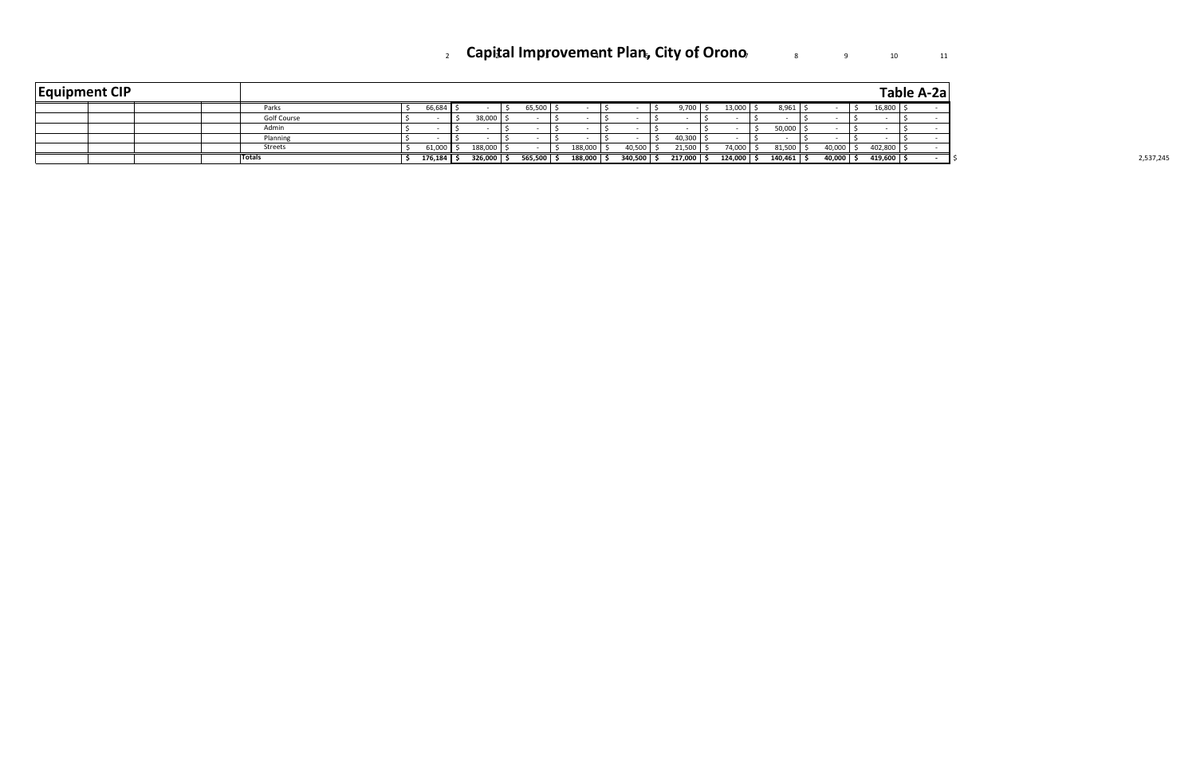## 2 **Capital Improvement Plan, City of Orono** 2 3 5 8 10 11

| <b>Equipment CIP</b> |             |          |              |         |         |              |            |         |       |              |        |             |         | <b>Table A-2a</b> |
|----------------------|-------------|----------|--------------|---------|---------|--------------|------------|---------|-------|--------------|--------|-------------|---------|-------------------|
|                      | Parks       | 66,684   |              | 65,500  |         |              | 9,700 I \$ | 13,000  | 8,961 |              |        |             | 16,800  |                   |
|                      | Golf Course |          | 38,000       |         |         |              |            |         |       |              |        |             |         |                   |
|                      | Admir       |          |              |         |         |              |            |         |       | 50,000       |        |             |         |                   |
|                      | Planning    |          |              |         |         |              | 40,300     |         |       |              |        |             |         |                   |
|                      | Streets     | 61,000   | 188,000      |         | 188,000 | 40,500       | 21,50      | 74,000  |       | 81,500       | 40,000 |             | 402,800 |                   |
|                      | Totals      | 176, 184 | $326,000$ \$ | 565,500 | 188,000 | $340,500$ \$ | 217,000    | 124,000 |       | $140, 461$ , |        | $40,000$ \$ | 419,600 |                   |

| 10<br>× |
|---------|
|---------|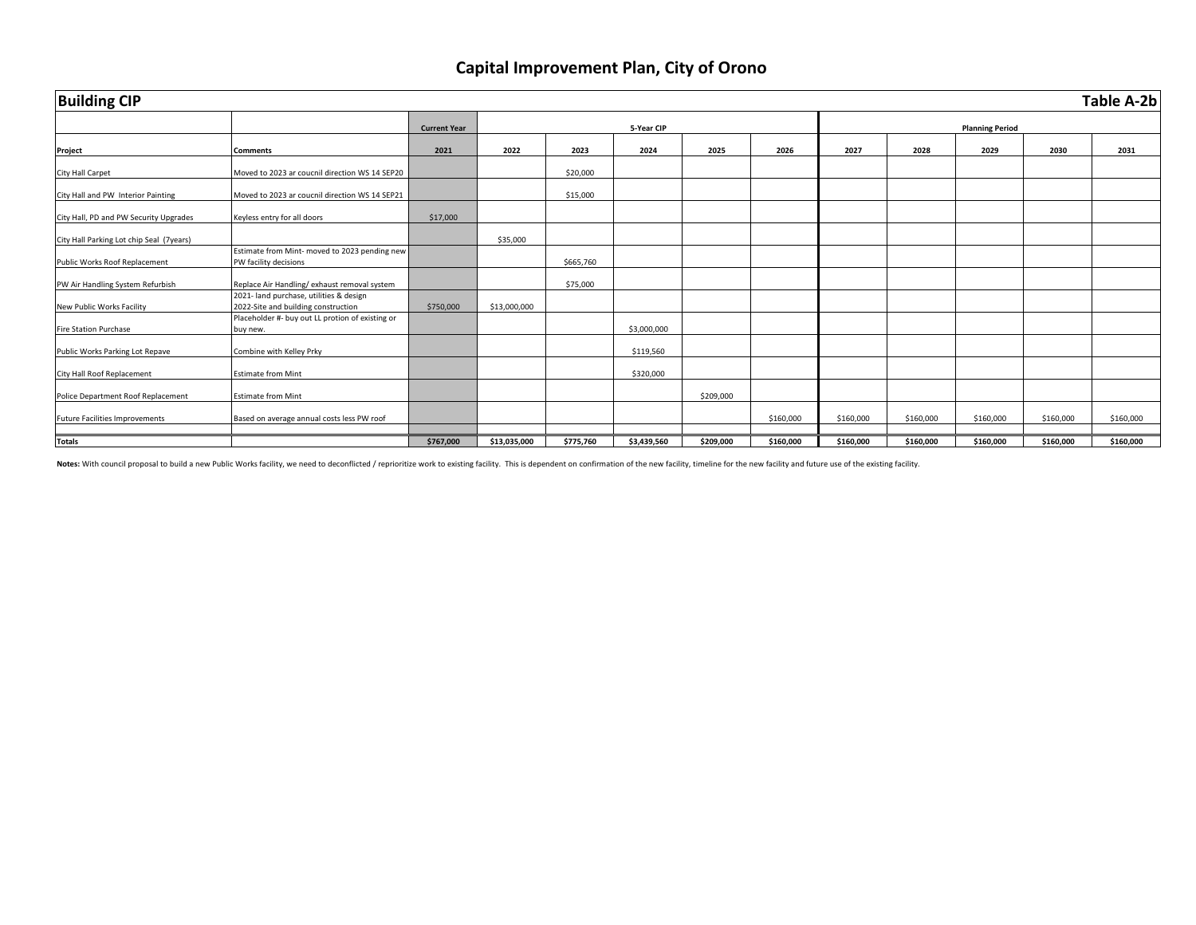| <b>Building CIP</b>                      |                                                                                |                     |              |           |             |           |           |           |           |                        |           | Table A-2b |
|------------------------------------------|--------------------------------------------------------------------------------|---------------------|--------------|-----------|-------------|-----------|-----------|-----------|-----------|------------------------|-----------|------------|
|                                          |                                                                                | <b>Current Year</b> |              |           | 5-Year CIP  |           |           |           |           | <b>Planning Period</b> |           |            |
| Project                                  | <b>Comments</b>                                                                | 2021                | 2022         | 2023      | 2024        | 2025      | 2026      | 2027      | 2028      | 2029                   | 2030      | 2031       |
| <b>City Hall Carpet</b>                  | Moved to 2023 ar coucnil direction WS 14 SEP20                                 |                     |              | \$20,000  |             |           |           |           |           |                        |           |            |
| City Hall and PW Interior Painting       | Moved to 2023 ar coucnil direction WS 14 SEP21                                 |                     |              | \$15,000  |             |           |           |           |           |                        |           |            |
| City Hall, PD and PW Security Upgrades   | Keyless entry for all doors                                                    | \$17,000            |              |           |             |           |           |           |           |                        |           |            |
| City Hall Parking Lot chip Seal (7years) |                                                                                |                     | \$35,000     |           |             |           |           |           |           |                        |           |            |
| Public Works Roof Replacement            | Estimate from Mint- moved to 2023 pending new<br>PW facility decisions         |                     |              | \$665,760 |             |           |           |           |           |                        |           |            |
| PW Air Handling System Refurbish         | Replace Air Handling/ exhaust removal system                                   |                     |              | \$75,000  |             |           |           |           |           |                        |           |            |
| New Public Works Facility                | 2021- land purchase, utilities & design<br>2022-Site and building construction | \$750,000           | \$13,000,000 |           |             |           |           |           |           |                        |           |            |
| <b>Fire Station Purchase</b>             | Placeholder #- buy out LL protion of existing or<br>buy new.                   |                     |              |           | \$3,000,000 |           |           |           |           |                        |           |            |
| Public Works Parking Lot Repave          | Combine with Kelley Prky                                                       |                     |              |           | \$119,560   |           |           |           |           |                        |           |            |
| City Hall Roof Replacement               | <b>Estimate from Mint</b>                                                      |                     |              |           | \$320,000   |           |           |           |           |                        |           |            |
| Police Department Roof Replacement       | <b>Estimate from Mint</b>                                                      |                     |              |           |             | \$209,000 |           |           |           |                        |           |            |
| <b>Future Facilities Improvements</b>    | Based on average annual costs less PW roof                                     |                     |              |           |             |           | \$160,000 | \$160,000 | \$160,000 | \$160,000              | \$160,000 | \$160,000  |
| <b>Totals</b>                            |                                                                                | \$767,000           | \$13,035,000 | \$775,760 | \$3,439,560 | \$209,000 | \$160,000 | \$160,000 | \$160,000 | \$160,000              | \$160,000 | \$160,000  |

Notes: With council proposal to build a new Public Works facility, we need to deconflicted / reprioritize work to existing facility. This is dependent on confirmation of the new facility, timeline for the new facility and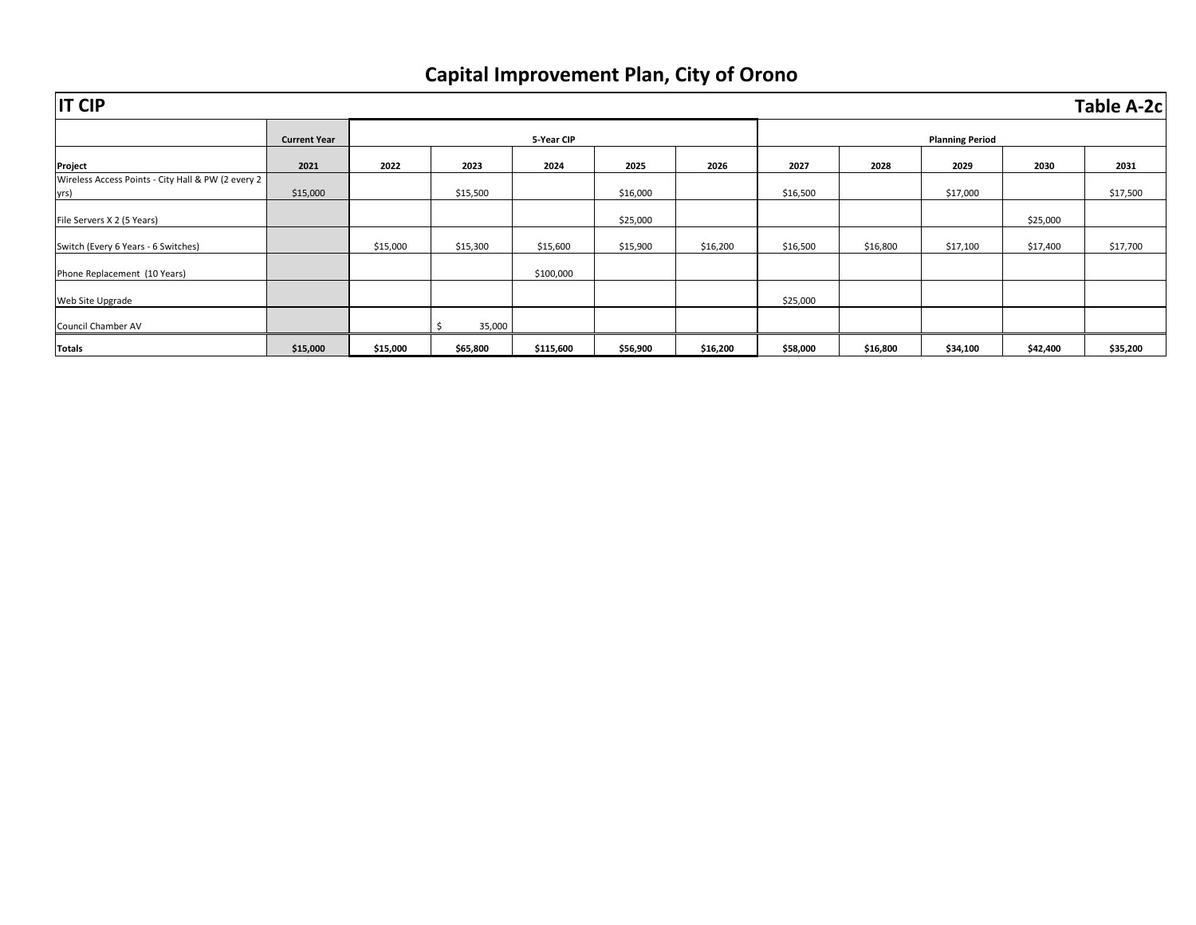| <b>IT CIP</b>                                              | Table A-2c          |          |          |            |          |          |          |          |                        |          |          |  |  |  |  |
|------------------------------------------------------------|---------------------|----------|----------|------------|----------|----------|----------|----------|------------------------|----------|----------|--|--|--|--|
|                                                            | <b>Current Year</b> |          |          | 5-Year CIP |          |          |          |          | <b>Planning Period</b> |          |          |  |  |  |  |
| Project                                                    | 2021                | 2022     | 2023     | 2024       | 2025     | 2026     | 2027     | 2028     | 2029                   | 2030     | 2031     |  |  |  |  |
| Wireless Access Points - City Hall & PW (2 every 2<br>yrs) | \$15,000            |          | \$15,500 |            | \$16,000 |          | \$16,500 |          | \$17,000               |          | \$17,500 |  |  |  |  |
| File Servers X 2 (5 Years)                                 |                     |          |          |            | \$25,000 |          |          |          |                        | \$25,000 |          |  |  |  |  |
| Switch (Every 6 Years - 6 Switches)                        |                     | \$15,000 | \$15,300 | \$15,600   | \$15,900 | \$16,200 | \$16,500 | \$16,800 | \$17,100               | \$17,400 | \$17,700 |  |  |  |  |
| Phone Replacement (10 Years)                               |                     |          |          | \$100,000  |          |          |          |          |                        |          |          |  |  |  |  |
| Web Site Upgrade                                           |                     |          |          |            |          |          | \$25,000 |          |                        |          |          |  |  |  |  |
| Council Chamber AV                                         |                     |          | 35,000   |            |          |          |          |          |                        |          |          |  |  |  |  |
| <b>Totals</b>                                              | \$15,000            | \$15,000 | \$65,800 | \$115,600  | \$56,900 | \$16,200 | \$58,000 | \$16,800 | \$34,100               | \$42,400 | \$35,200 |  |  |  |  |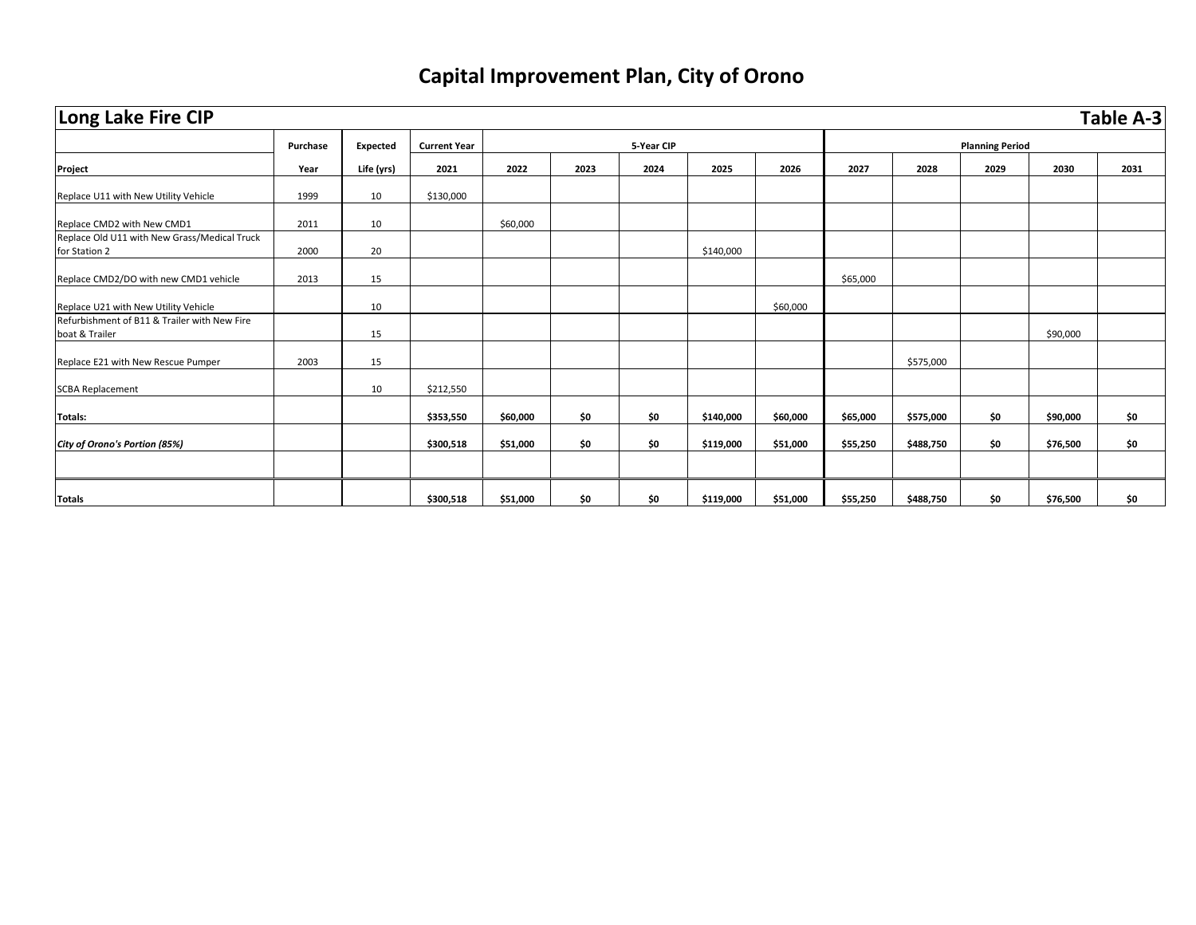| Long Lake Fire CIP                                             |          |            |                     |          |      |            |           |          |          |           |                        |          | <b>Table A-3</b> |
|----------------------------------------------------------------|----------|------------|---------------------|----------|------|------------|-----------|----------|----------|-----------|------------------------|----------|------------------|
|                                                                | Purchase | Expected   | <b>Current Year</b> |          |      | 5-Year CIP |           |          |          |           | <b>Planning Period</b> |          |                  |
| Project                                                        | Year     | Life (yrs) | 2021                | 2022     | 2023 | 2024       | 2025      | 2026     | 2027     | 2028      | 2029                   | 2030     | 2031             |
| Replace U11 with New Utility Vehicle                           | 1999     | 10         | \$130,000           |          |      |            |           |          |          |           |                        |          |                  |
| Replace CMD2 with New CMD1                                     | 2011     | 10         |                     | \$60,000 |      |            |           |          |          |           |                        |          |                  |
| Replace Old U11 with New Grass/Medical Truck<br>for Station 2  | 2000     | 20         |                     |          |      |            | \$140,000 |          |          |           |                        |          |                  |
| Replace CMD2/DO with new CMD1 vehicle                          | 2013     | 15         |                     |          |      |            |           |          | \$65,000 |           |                        |          |                  |
| Replace U21 with New Utility Vehicle                           |          | 10         |                     |          |      |            |           | \$60,000 |          |           |                        |          |                  |
| Refurbishment of B11 & Trailer with New Fire<br>boat & Trailer |          | 15         |                     |          |      |            |           |          |          |           |                        | \$90,000 |                  |
| Replace E21 with New Rescue Pumper                             | 2003     | 15         |                     |          |      |            |           |          |          | \$575,000 |                        |          |                  |
| <b>SCBA Replacement</b>                                        |          | 10         | \$212,550           |          |      |            |           |          |          |           |                        |          |                  |
| <b>Totals:</b>                                                 |          |            | \$353,550           | \$60,000 | \$0  | \$0        | \$140,000 | \$60,000 | \$65,000 | \$575,000 | \$0                    | \$90,000 | \$0              |
| City of Orono's Portion (85%)                                  |          |            | \$300,518           | \$51,000 | \$0  | \$0        | \$119,000 | \$51,000 | \$55,250 | \$488,750 | \$0                    | \$76,500 | \$0              |
|                                                                |          |            |                     |          |      |            |           |          |          |           |                        |          |                  |
| <b>Totals</b>                                                  |          |            | \$300,518           | \$51,000 | \$0  | \$0        | \$119,000 | \$51,000 | \$55,250 | \$488,750 | \$0                    | \$76,500 | \$0              |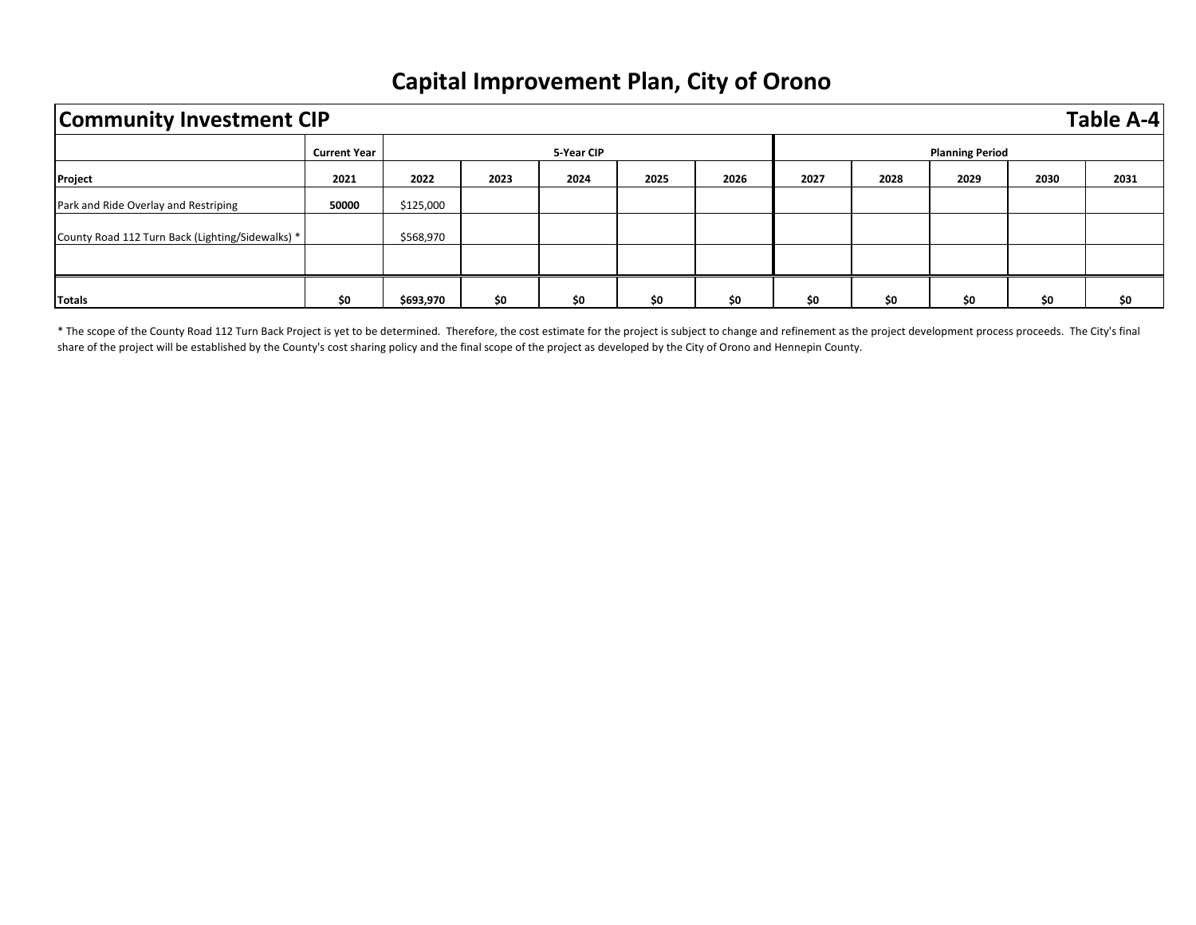|                                                  | <b>Table A-4</b><br><b>Community Investment CIP</b> |           |      |            |      |      |      |      |                        |      |      |  |  |  |
|--------------------------------------------------|-----------------------------------------------------|-----------|------|------------|------|------|------|------|------------------------|------|------|--|--|--|
|                                                  | <b>Current Year</b>                                 |           |      | 5-Year CIP |      |      |      |      | <b>Planning Period</b> |      |      |  |  |  |
| Project                                          | 2021                                                | 2022      | 2023 | 2024       | 2025 | 2026 | 2027 | 2028 | 2029                   | 2030 | 2031 |  |  |  |
| Park and Ride Overlay and Restriping             | 50000                                               | \$125,000 |      |            |      |      |      |      |                        |      |      |  |  |  |
| County Road 112 Turn Back (Lighting/Sidewalks) * |                                                     | \$568,970 |      |            |      |      |      |      |                        |      |      |  |  |  |
|                                                  |                                                     |           |      |            |      |      |      |      |                        |      |      |  |  |  |
| Totals                                           | \$0                                                 | \$693,970 | \$0  | \$0        | \$0  | \$0  | \$0  | \$0  | \$0                    | \$0  | \$0  |  |  |  |

\* The scope of the County Road 112 Turn Back Project is yet to be determined. Therefore, the cost estimate for the project is subject to change and refinement as the project development process proceeds. The City's final share of the project will be established by the County's cost sharing policy and the final scope of the project as developed by the City of Orono and Hennepin County.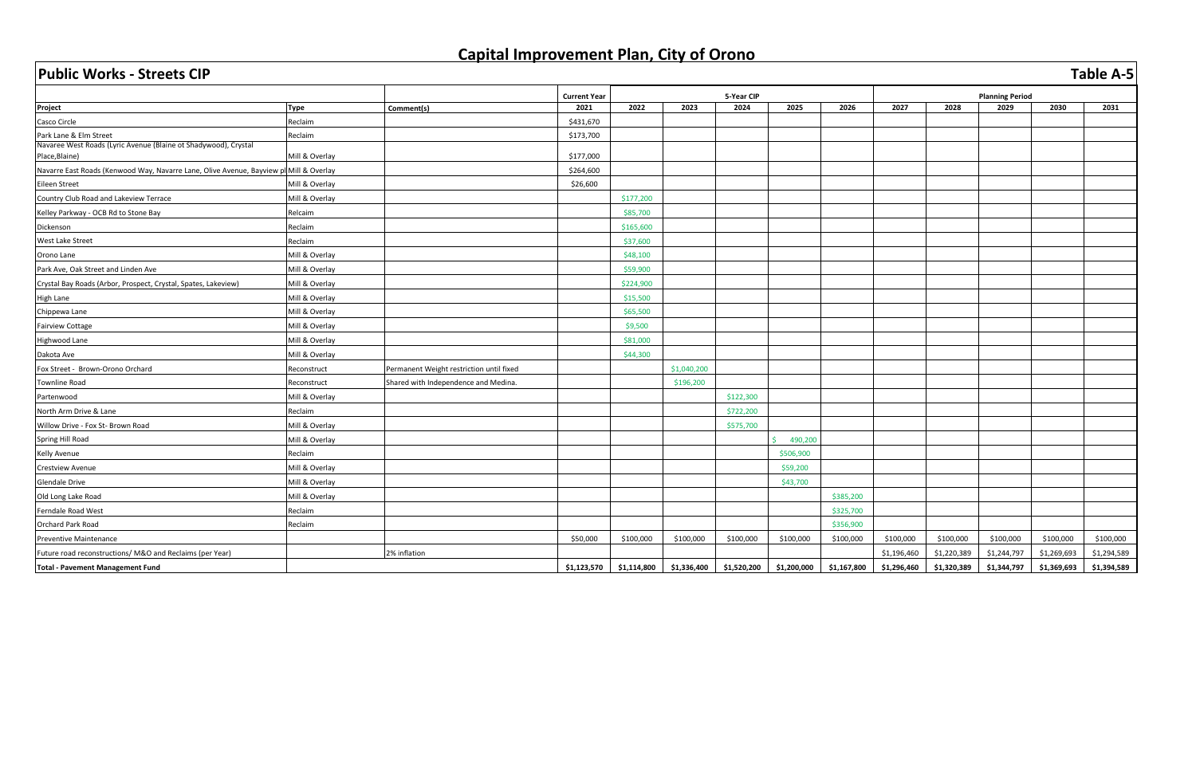| <b>Public Works - Streets CIP</b>                                                      |                |                                          |                     |             |             |             |             |             |             |             |                        |             | Table A-5   |  |
|----------------------------------------------------------------------------------------|----------------|------------------------------------------|---------------------|-------------|-------------|-------------|-------------|-------------|-------------|-------------|------------------------|-------------|-------------|--|
|                                                                                        |                |                                          | <b>Current Year</b> |             |             | 5-Year CIP  |             |             |             |             | <b>Planning Period</b> |             |             |  |
| Project                                                                                | <b>Type</b>    | Comment(s)                               | 2021                | 2022        | 2023        | 2024        | 2025        | 2026        | 2027        | 2028        | 2029                   | 2030        | 2031        |  |
| Casco Circle                                                                           | Reclaim        |                                          | \$431,670           |             |             |             |             |             |             |             |                        |             |             |  |
| Park Lane & Elm Street                                                                 | Reclaim        |                                          | \$173,700           |             |             |             |             |             |             |             |                        |             |             |  |
| Navaree West Roads (Lyric Avenue (Blaine ot Shadywood), Crystal                        |                |                                          |                     |             |             |             |             |             |             |             |                        |             |             |  |
| Place, Blaine)                                                                         | Mill & Overlay |                                          | \$177,000           |             |             |             |             |             |             |             |                        |             |             |  |
| Navarre East Roads (Kenwood Way, Navarre Lane, Olive Avenue, Bayview pl Mill & Overlay |                |                                          | \$264,600           |             |             |             |             |             |             |             |                        |             |             |  |
| <b>Eileen Street</b>                                                                   | Mill & Overlay |                                          | \$26,600            |             |             |             |             |             |             |             |                        |             |             |  |
| Country Club Road and Lakeview Terrace                                                 | Mill & Overlay |                                          |                     | \$177,200   |             |             |             |             |             |             |                        |             |             |  |
| Kelley Parkway - OCB Rd to Stone Bay                                                   | Relcaim        |                                          |                     | \$85,700    |             |             |             |             |             |             |                        |             |             |  |
| Dickenson                                                                              | Reclaim        |                                          |                     | \$165,600   |             |             |             |             |             |             |                        |             |             |  |
| <b>West Lake Street</b>                                                                | Reclaim        |                                          |                     | \$37,600    |             |             |             |             |             |             |                        |             |             |  |
| Orono Lane                                                                             | Mill & Overlay |                                          |                     | \$48,100    |             |             |             |             |             |             |                        |             |             |  |
| Park Ave, Oak Street and Linden Ave                                                    | Mill & Overlay |                                          |                     | \$59,900    |             |             |             |             |             |             |                        |             |             |  |
| Crystal Bay Roads (Arbor, Prospect, Crystal, Spates, Lakeview)                         | Mill & Overlay |                                          |                     | \$224,900   |             |             |             |             |             |             |                        |             |             |  |
| <b>High Lane</b>                                                                       | Mill & Overlay |                                          |                     | \$15,500    |             |             |             |             |             |             |                        |             |             |  |
| Chippewa Lane                                                                          | Mill & Overlay |                                          |                     | \$65,500    |             |             |             |             |             |             |                        |             |             |  |
| <b>Fairview Cottage</b>                                                                | Mill & Overlay |                                          |                     | \$9,500     |             |             |             |             |             |             |                        |             |             |  |
| Highwood Lane                                                                          | Mill & Overlay |                                          |                     | \$81,000    |             |             |             |             |             |             |                        |             |             |  |
| Dakota Ave                                                                             | Mill & Overlay |                                          |                     | \$44,300    |             |             |             |             |             |             |                        |             |             |  |
| Fox Street - Brown-Orono Orchard                                                       | Reconstruct    | Permanent Weight restriction until fixed |                     |             | \$1,040,200 |             |             |             |             |             |                        |             |             |  |
| <b>Townline Road</b>                                                                   | Reconstruct    | Shared with Independence and Medina.     |                     |             | \$196,200   |             |             |             |             |             |                        |             |             |  |
| Partenwood                                                                             | Mill & Overlay |                                          |                     |             |             | \$122,300   |             |             |             |             |                        |             |             |  |
| North Arm Drive & Lane                                                                 | Reclaim        |                                          |                     |             |             | \$722,200   |             |             |             |             |                        |             |             |  |
| Willow Drive - Fox St- Brown Road                                                      | Mill & Overlay |                                          |                     |             |             | \$575,700   |             |             |             |             |                        |             |             |  |
| Spring Hill Road                                                                       | Mill & Overlay |                                          |                     |             |             |             | 490,200     |             |             |             |                        |             |             |  |
| Kelly Avenue                                                                           | Reclaim        |                                          |                     |             |             |             | \$506,900   |             |             |             |                        |             |             |  |
| Crestview Avenue                                                                       | Mill & Overlay |                                          |                     |             |             |             | \$59,200    |             |             |             |                        |             |             |  |
| Glendale Drive                                                                         | Mill & Overlay |                                          |                     |             |             |             | \$43,700    |             |             |             |                        |             |             |  |
| Old Long Lake Road                                                                     | Mill & Overlay |                                          |                     |             |             |             |             | \$385,200   |             |             |                        |             |             |  |
| Ferndale Road West                                                                     | Reclaim        |                                          |                     |             |             |             |             | \$325,700   |             |             |                        |             |             |  |
| Orchard Park Road                                                                      | Reclaim        |                                          |                     |             |             |             |             | \$356,900   |             |             |                        |             |             |  |
| Preventive Maintenance                                                                 |                |                                          | \$50,000            | \$100,000   | \$100,000   | \$100,000   | \$100,000   | \$100,000   | \$100,000   | \$100,000   | \$100,000              | \$100,000   | \$100,000   |  |
| Future road reconstructions/ M&O and Reclaims (per Year)                               |                | 2% inflation                             |                     |             |             |             |             |             | \$1,196,460 | \$1,220,389 | \$1,244,797            | \$1,269,693 | \$1,294,589 |  |
| Total - Pavement Management Fund                                                       |                |                                          | \$1,123,570         | \$1,114,800 | \$1,336,400 | \$1,520,200 | \$1,200,000 | \$1,167,800 | \$1,296,460 | \$1,320,389 | \$1,344,797            | \$1,369,693 | \$1,394,589 |  |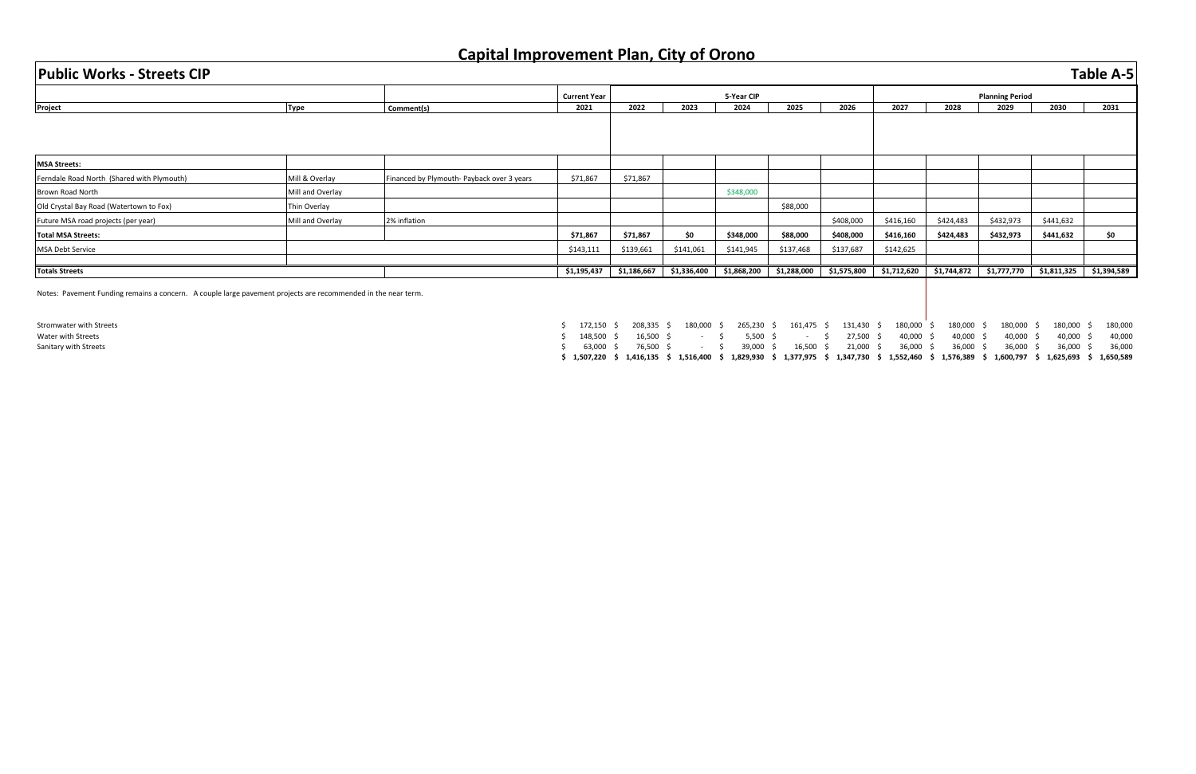| <b>Public Works - Streets CIP</b>                                                                             |                  |                                            |                     |             |             |              |             |             |               |                                                                                                                                          |                        |             | <b>Table A-5</b>           |
|---------------------------------------------------------------------------------------------------------------|------------------|--------------------------------------------|---------------------|-------------|-------------|--------------|-------------|-------------|---------------|------------------------------------------------------------------------------------------------------------------------------------------|------------------------|-------------|----------------------------|
|                                                                                                               |                  |                                            | <b>Current Year</b> |             |             | 5-Year CIP   |             |             |               |                                                                                                                                          | <b>Planning Period</b> |             |                            |
| Project                                                                                                       | <b>Type</b>      | Comment(s)                                 | 2021                | 2022        | 2023        | 2024         | 2025        | 2026        | 2027          | 2028                                                                                                                                     | 2029                   | 2030        | 2031                       |
|                                                                                                               |                  |                                            |                     |             |             |              |             |             |               |                                                                                                                                          |                        |             |                            |
| <b>MSA Streets:</b>                                                                                           |                  |                                            |                     |             |             |              |             |             |               |                                                                                                                                          |                        |             |                            |
| Ferndale Road North (Shared with Plymouth)                                                                    | Mill & Overlay   | Financed by Plymouth- Payback over 3 years | \$71,867            | \$71,867    |             |              |             |             |               |                                                                                                                                          |                        |             |                            |
| Brown Road North                                                                                              | Mill and Overlay |                                            |                     |             |             | \$348,000    |             |             |               |                                                                                                                                          |                        |             |                            |
| Old Crystal Bay Road (Watertown to Fox)                                                                       | Thin Overlay     |                                            |                     |             |             |              | \$88,000    |             |               |                                                                                                                                          |                        |             |                            |
| Future MSA road projects (per year)                                                                           | Mill and Overlay | 2% inflation                               |                     |             |             |              |             | \$408,000   | \$416,160     | \$424,483                                                                                                                                | \$432,973              | \$441,632   |                            |
| <b>Total MSA Streets:</b>                                                                                     |                  |                                            | \$71,867            | \$71,867    | \$0         | \$348,000    | \$88,000    | \$408,000   | \$416,160     | \$424,483                                                                                                                                | \$432,973              | \$441,632   | \$0                        |
| MSA Debt Service                                                                                              |                  |                                            | \$143,111           | \$139,661   | \$141,061   | \$141,945    | \$137,468   | \$137,687   | \$142,625     |                                                                                                                                          |                        |             |                            |
| <b>Totals Streets</b>                                                                                         |                  |                                            | \$1,195,437         | \$1,186,667 | \$1,336,400 | \$1,868,200  | \$1,288,000 | \$1,575,800 | \$1,712,620   | \$1,744,872                                                                                                                              | \$1,777,770            | \$1,811,325 | \$1,394,589                |
| Notes: Pavement Funding remains a concern. A couple large pavement projects are recommended in the near term. |                  |                                            |                     |             |             |              |             |             |               |                                                                                                                                          |                        |             |                            |
| <b>Stromwater with Streets</b>                                                                                |                  |                                            | 172,150 \$          | 208,335 \$  | 180,000     | $265,230$ \$ | 161,475 \$  | 131,430     | 180,000<br>S. | 180,000                                                                                                                                  | 180,000 \$             | 180,000     | 180,000                    |
| Water with Streets                                                                                            |                  |                                            | 148,500             | $16,500$ \$ | $\sim$      | $5,500$ \$   | $\sim$      | 27,500      | 40,000 \$     | 40,000                                                                                                                                   | 40,000                 | 40,000      | 40,000                     |
| Sanitary with Streets                                                                                         |                  |                                            | 63,000              | 76,500 \$   |             | 39,000       | 16,500 \$   | 21,000      | 36,000        | 36,000<br>1.507.220 \$ 1.416.135 \$ 1.516.400 \$ 1.829.930 \$ 1.377.975 \$ 1.347.730 \$ 1.552.460 \$ 1.576.389 \$ 1.600.797 \$ 1.625.693 | 36,000                 | 36,000      | 36,000<br>1.650.589<br>- S |

|                     | <u>,</u>       | ----<br>$\ddot{\phantom{0}}$   | - -<br>----   |                 |                |               |                |                        |                |                |
|---------------------|----------------|--------------------------------|---------------|-----------------|----------------|---------------|----------------|------------------------|----------------|----------------|
|                     |                |                                |               |                 |                |               |                |                        |                | Table A-5      |
| <b>Current Year</b> |                |                                | 5-Year CIP    |                 |                |               |                | <b>Planning Period</b> |                |                |
| 2021                | 2022           | 2023                           | 2024          | 2025            | 2026           | 2027          | 2028           | 2029                   | 2030           | 2031           |
|                     |                |                                |               |                 |                |               |                |                        |                |                |
|                     |                |                                |               |                 |                |               |                |                        |                |                |
| \$71,867            | \$71,867       |                                |               |                 |                |               |                |                        |                |                |
|                     |                |                                | \$348,000     |                 |                |               |                |                        |                |                |
|                     |                |                                |               | \$88,000        |                |               |                |                        |                |                |
|                     |                |                                |               |                 | \$408,000      | \$416,160     | \$424,483      | \$432,973              | \$441,632      |                |
| \$71,867            | \$71,867       | \$0                            | \$348,000     | \$88,000        | \$408,000      | \$416,160     | \$424,483      | \$432,973              | \$441,632      | \$0            |
| \$143,111           | \$139,661      | \$141,061                      | \$141,945     | \$137,468       | \$137,687      | \$142,625     |                |                        |                |                |
|                     |                |                                |               |                 |                |               |                |                        |                |                |
| \$1,195,437         | \$1,186,667    | \$1,336,400                    | \$1,868,200   | \$1,288,000     | \$1,575,800    | \$1,712,620   | \$1,744,872    | \$1,777,770            | \$1,811,325    | \$1,394,589    |
|                     |                |                                |               |                 |                |               |                |                        |                |                |
| \$<br>172,150       | 208,335<br>\$  | - \$<br>180,000                | 265,230<br>Ŝ. | - \$<br>161,475 | 131,430<br>Ŝ.  | 180,000<br>Ŝ. | 180,000<br>-Ś  | Ŝ.<br>180,000 \$       | 180,000        | -\$<br>180,000 |
| \$<br>148,500       | \$<br>16,500   | \$<br>$\overline{\phantom{a}}$ | 5,500<br>\$   | - \$            | \$<br>27,500   | 40,000<br>\$  | 40,000<br>Ŝ.   | \$<br>40,000 \$        | 40,000         | \$<br>40,000   |
| 63,000<br>\$        | 76,500<br>Ś    | Ś                              | 39,000<br>Ś   | 16,500<br>Ŝ     | 21,000         | 36,000<br>S   | 36,000<br>Ś    | 36,000<br>Ś            | 36,000<br>Ś    | Ś.<br>36,000   |
| 1,507,220<br>\$     | 1,416,135<br>Ś | \$<br>1,516,400                | 1,829,930     | \$<br>1,377,975 | Ś<br>1,347,730 | 1,552,460     | 1,576,389<br>S | 1,600,797<br>Ś         | 1,625,693<br>S | Ś<br>1,650,589 |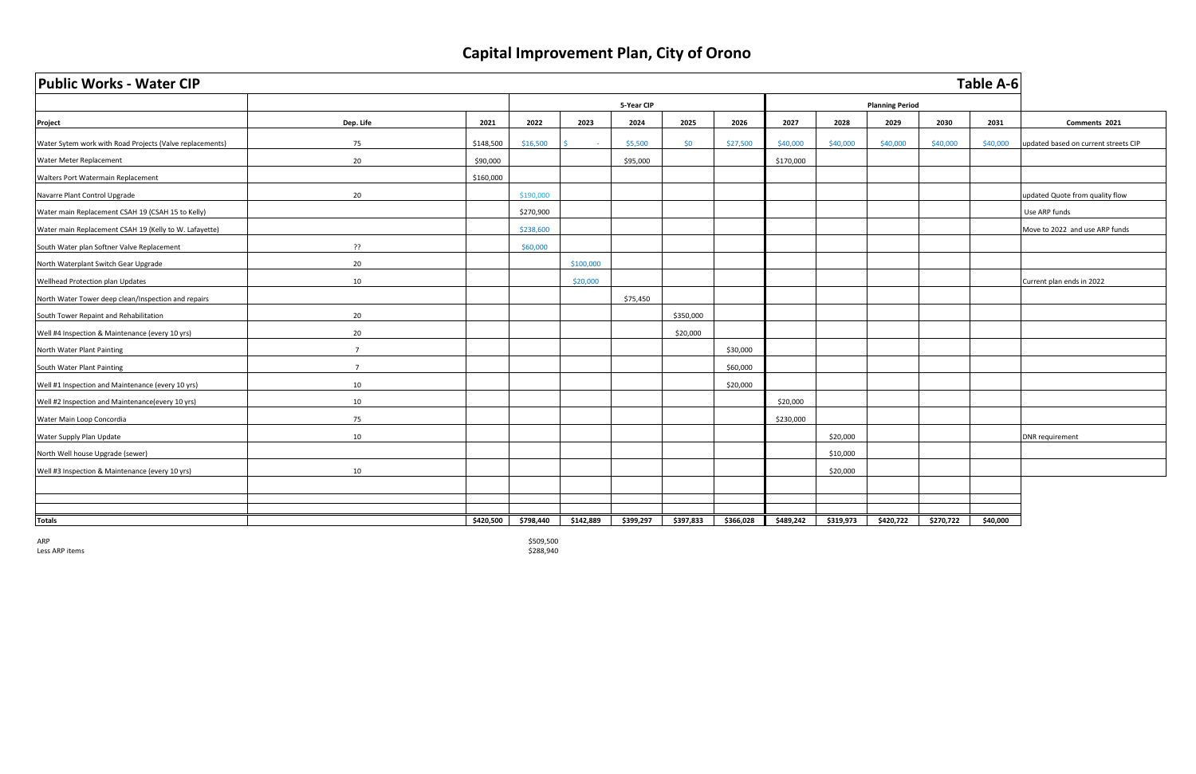| <b>Table A-6</b><br><b>Public Works - Water CIP</b><br>5-Year CIP<br><b>Planning Period</b><br>2021<br>2022<br>2023<br>2030<br>Project<br>Dep. Life<br>2024<br>2025<br>2026<br>2027<br>2028<br>2029<br>2031<br>\$0<br>Water Sytem work with Road Projects (Valve replacements)<br>75<br>\$148,500<br>\$16,500<br>\$5,500<br>\$27,500<br>\$40,000<br>\$40,000<br>\$40,000<br>\$40,000<br>\$40,000<br>20<br>Water Meter Replacement<br>\$90,000<br>\$95,000<br>\$170,000<br>Walters Port Watermain Replacement<br>\$160,000<br>Navarre Plant Control Upgrade<br>20<br>\$190,000<br>\$270,900<br>Water main Replacement CSAH 19 (CSAH 15 to Kelly)<br>Water main Replacement CSAH 19 (Kelly to W. Lafayette)<br>\$238,600<br>??<br>South Water plan Softner Valve Replacement<br>\$60,000<br>North Waterplant Switch Gear Upgrade<br>20<br>\$100,000<br>10<br><b>Wellhead Protection plan Updates</b><br>\$20,000<br>\$75,450<br>North Water Tower deep clean/Inspection and repairs |                |           |           |           |           |           |           |           |           |           |           |          |                                      |  |
|-----------------------------------------------------------------------------------------------------------------------------------------------------------------------------------------------------------------------------------------------------------------------------------------------------------------------------------------------------------------------------------------------------------------------------------------------------------------------------------------------------------------------------------------------------------------------------------------------------------------------------------------------------------------------------------------------------------------------------------------------------------------------------------------------------------------------------------------------------------------------------------------------------------------------------------------------------------------------------------|----------------|-----------|-----------|-----------|-----------|-----------|-----------|-----------|-----------|-----------|-----------|----------|--------------------------------------|--|
|                                                                                                                                                                                                                                                                                                                                                                                                                                                                                                                                                                                                                                                                                                                                                                                                                                                                                                                                                                                   |                |           |           |           |           |           |           |           |           |           |           |          |                                      |  |
|                                                                                                                                                                                                                                                                                                                                                                                                                                                                                                                                                                                                                                                                                                                                                                                                                                                                                                                                                                                   |                |           |           |           |           |           |           |           |           |           |           |          | Comments 2021                        |  |
|                                                                                                                                                                                                                                                                                                                                                                                                                                                                                                                                                                                                                                                                                                                                                                                                                                                                                                                                                                                   |                |           |           |           |           |           |           |           |           |           |           |          | updated based on current streets CIP |  |
|                                                                                                                                                                                                                                                                                                                                                                                                                                                                                                                                                                                                                                                                                                                                                                                                                                                                                                                                                                                   |                |           |           |           |           |           |           |           |           |           |           |          |                                      |  |
|                                                                                                                                                                                                                                                                                                                                                                                                                                                                                                                                                                                                                                                                                                                                                                                                                                                                                                                                                                                   |                |           |           |           |           |           |           |           |           |           |           |          |                                      |  |
|                                                                                                                                                                                                                                                                                                                                                                                                                                                                                                                                                                                                                                                                                                                                                                                                                                                                                                                                                                                   |                |           |           |           |           |           |           |           |           |           |           |          | updated Quote from quality flow      |  |
|                                                                                                                                                                                                                                                                                                                                                                                                                                                                                                                                                                                                                                                                                                                                                                                                                                                                                                                                                                                   |                |           |           |           |           |           |           |           |           |           |           |          | Use ARP funds                        |  |
|                                                                                                                                                                                                                                                                                                                                                                                                                                                                                                                                                                                                                                                                                                                                                                                                                                                                                                                                                                                   |                |           |           |           |           |           |           |           |           |           |           |          | Move to 2022 and use ARP funds       |  |
|                                                                                                                                                                                                                                                                                                                                                                                                                                                                                                                                                                                                                                                                                                                                                                                                                                                                                                                                                                                   |                |           |           |           |           |           |           |           |           |           |           |          |                                      |  |
|                                                                                                                                                                                                                                                                                                                                                                                                                                                                                                                                                                                                                                                                                                                                                                                                                                                                                                                                                                                   |                |           |           |           |           |           |           |           |           |           |           |          |                                      |  |
|                                                                                                                                                                                                                                                                                                                                                                                                                                                                                                                                                                                                                                                                                                                                                                                                                                                                                                                                                                                   |                |           |           |           |           |           |           |           |           |           |           |          | Current plan ends in 2022            |  |
|                                                                                                                                                                                                                                                                                                                                                                                                                                                                                                                                                                                                                                                                                                                                                                                                                                                                                                                                                                                   |                |           |           |           |           |           |           |           |           |           |           |          |                                      |  |
| South Tower Repaint and Rehabilitation                                                                                                                                                                                                                                                                                                                                                                                                                                                                                                                                                                                                                                                                                                                                                                                                                                                                                                                                            | 20             |           |           |           |           | \$350,000 |           |           |           |           |           |          |                                      |  |
| Well #4 Inspection & Maintenance (every 10 yrs)                                                                                                                                                                                                                                                                                                                                                                                                                                                                                                                                                                                                                                                                                                                                                                                                                                                                                                                                   | 20             |           |           |           |           | \$20,000  |           |           |           |           |           |          |                                      |  |
| North Water Plant Painting                                                                                                                                                                                                                                                                                                                                                                                                                                                                                                                                                                                                                                                                                                                                                                                                                                                                                                                                                        | $\overline{7}$ |           |           |           |           |           | \$30,000  |           |           |           |           |          |                                      |  |
| South Water Plant Painting                                                                                                                                                                                                                                                                                                                                                                                                                                                                                                                                                                                                                                                                                                                                                                                                                                                                                                                                                        | $\overline{7}$ |           |           |           |           |           | \$60,000  |           |           |           |           |          |                                      |  |
| Well #1 Inspection and Maintenance (every 10 yrs)                                                                                                                                                                                                                                                                                                                                                                                                                                                                                                                                                                                                                                                                                                                                                                                                                                                                                                                                 | 10             |           |           |           |           |           | \$20,000  |           |           |           |           |          |                                      |  |
| Well #2 Inspection and Maintenance(every 10 yrs)                                                                                                                                                                                                                                                                                                                                                                                                                                                                                                                                                                                                                                                                                                                                                                                                                                                                                                                                  | 10             |           |           |           |           |           |           | \$20,000  |           |           |           |          |                                      |  |
| Water Main Loop Concordia                                                                                                                                                                                                                                                                                                                                                                                                                                                                                                                                                                                                                                                                                                                                                                                                                                                                                                                                                         | 75             |           |           |           |           |           |           | \$230,000 |           |           |           |          |                                      |  |
| Water Supply Plan Update                                                                                                                                                                                                                                                                                                                                                                                                                                                                                                                                                                                                                                                                                                                                                                                                                                                                                                                                                          | 10             |           |           |           |           |           |           |           | \$20,000  |           |           |          | <b>DNR</b> requirement               |  |
| North Well house Upgrade (sewer)                                                                                                                                                                                                                                                                                                                                                                                                                                                                                                                                                                                                                                                                                                                                                                                                                                                                                                                                                  |                |           |           |           |           |           |           |           | \$10,000  |           |           |          |                                      |  |
| Well #3 Inspection & Maintenance (every 10 yrs)                                                                                                                                                                                                                                                                                                                                                                                                                                                                                                                                                                                                                                                                                                                                                                                                                                                                                                                                   | 10             |           |           |           |           |           |           |           | \$20,000  |           |           |          |                                      |  |
|                                                                                                                                                                                                                                                                                                                                                                                                                                                                                                                                                                                                                                                                                                                                                                                                                                                                                                                                                                                   |                |           |           |           |           |           |           |           |           |           |           |          |                                      |  |
|                                                                                                                                                                                                                                                                                                                                                                                                                                                                                                                                                                                                                                                                                                                                                                                                                                                                                                                                                                                   |                |           |           |           |           |           |           |           |           |           |           |          |                                      |  |
| <b>Totals</b>                                                                                                                                                                                                                                                                                                                                                                                                                                                                                                                                                                                                                                                                                                                                                                                                                                                                                                                                                                     |                | \$420,500 | \$798,440 | \$142,889 | \$399,297 | \$397,833 | \$366,028 | \$489,242 | \$319,973 | \$420,722 | \$270,722 | \$40,000 |                                      |  |

ARP ちょうしょう ちょうしょう しょうしょく しゅうしゅん しゅうしゅん しゅうしゅん しゅうしゅん ちょうしゅう ちょうしゅん ちょうしょく ちょうしょく ちょうしゅうしょく

Less ARP items \$288,940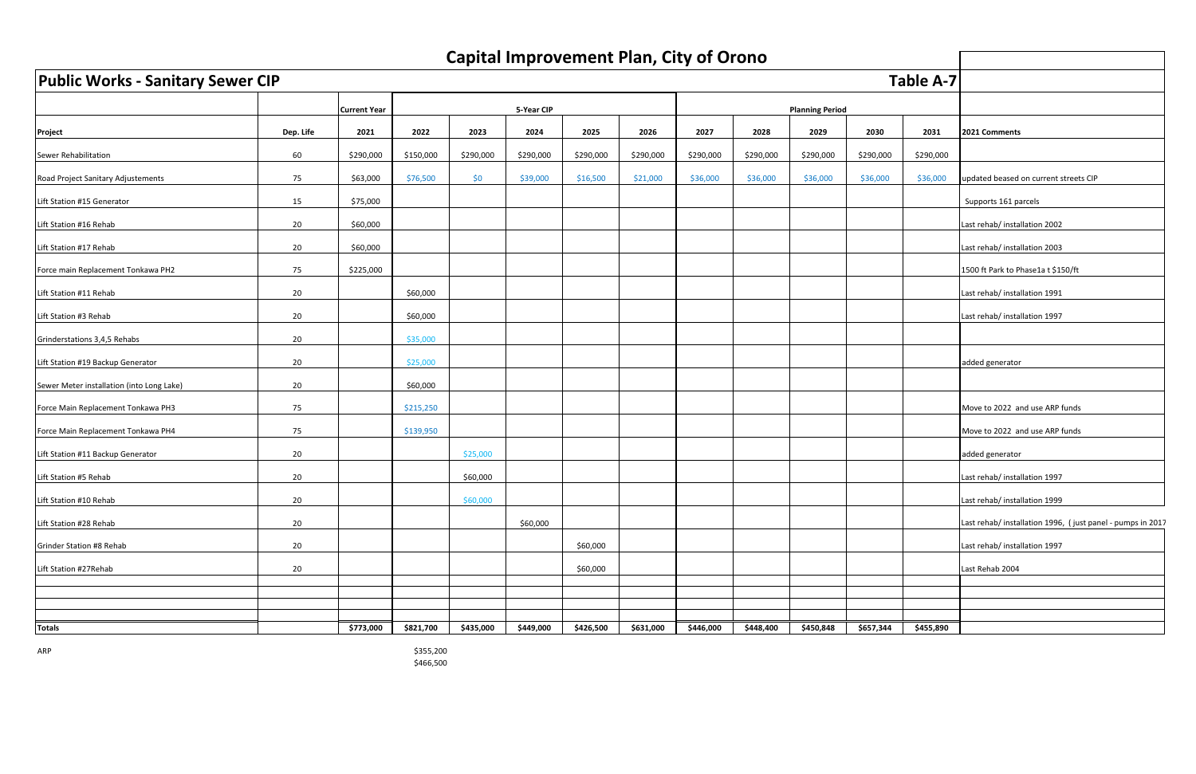|                                           |           |                     |           |           |            | <b>Capital Improvement Plan, City of Orono</b> |           |           |           |                        |           |           |                                                            |
|-------------------------------------------|-----------|---------------------|-----------|-----------|------------|------------------------------------------------|-----------|-----------|-----------|------------------------|-----------|-----------|------------------------------------------------------------|
| <b>Public Works - Sanitary Sewer CIP</b>  |           |                     |           |           |            |                                                |           |           |           | <b>Table A-7</b>       |           |           |                                                            |
|                                           |           | <b>Current Year</b> |           |           | 5-Year CIP |                                                |           |           |           | <b>Planning Period</b> |           |           |                                                            |
| Project                                   | Dep. Life | 2021                | 2022      | 2023      | 2024       | 2025                                           | 2026      | 2027      | 2028      | 2029                   | 2030      | 2031      | 2021 Comments                                              |
| Sewer Rehabilitation                      | 60        | \$290,000           | \$150,000 | \$290,000 | \$290,000  | \$290,000                                      | \$290,000 | \$290,000 | \$290,000 | \$290,000              | \$290,000 | \$290,000 |                                                            |
| Road Project Sanitary Adjustements        | 75        | \$63,000            | \$76,500  | \$0       | \$39,000   | \$16,500                                       | \$21,000  | \$36,000  | \$36,000  | \$36,000               | \$36,000  | \$36,000  | updated beased on current streets CIP                      |
| Lift Station #15 Generator                | 15        | \$75,000            |           |           |            |                                                |           |           |           |                        |           |           | Supports 161 parcels                                       |
| Lift Station #16 Rehab                    | 20        | \$60,000            |           |           |            |                                                |           |           |           |                        |           |           | Last rehab/ installation 2002                              |
| Lift Station #17 Rehab                    | 20        | \$60,000            |           |           |            |                                                |           |           |           |                        |           |           | Last rehab/ installation 2003                              |
| Force main Replacement Tonkawa PH2        | 75        | \$225,000           |           |           |            |                                                |           |           |           |                        |           |           | 1500 ft Park to Phase1a t \$150/ft                         |
| Lift Station #11 Rehab                    | 20        |                     | \$60,000  |           |            |                                                |           |           |           |                        |           |           | Last rehab/ installation 1991                              |
| Lift Station #3 Rehab                     | 20        |                     | \$60,000  |           |            |                                                |           |           |           |                        |           |           | Last rehab/ installation 1997                              |
| Grinderstations 3,4,5 Rehabs              | 20        |                     | \$35,000  |           |            |                                                |           |           |           |                        |           |           |                                                            |
| Lift Station #19 Backup Generator         | 20        |                     | \$25,000  |           |            |                                                |           |           |           |                        |           |           | added generator                                            |
| Sewer Meter installation (into Long Lake) | 20        |                     | \$60,000  |           |            |                                                |           |           |           |                        |           |           |                                                            |
| Force Main Replacement Tonkawa PH3        | 75        |                     | \$215,250 |           |            |                                                |           |           |           |                        |           |           | Move to 2022 and use ARP funds                             |
| Force Main Replacement Tonkawa PH4        | 75        |                     | \$139,950 |           |            |                                                |           |           |           |                        |           |           | Move to 2022 and use ARP funds                             |
| Lift Station #11 Backup Generator         | 20        |                     |           | \$25,000  |            |                                                |           |           |           |                        |           |           | added generator                                            |
| Lift Station #5 Rehab                     | 20        |                     |           | \$60,000  |            |                                                |           |           |           |                        |           |           | Last rehab/ installation 1997                              |
| Lift Station #10 Rehab                    | 20        |                     |           | \$60,000  |            |                                                |           |           |           |                        |           |           | Last rehab/ installation 1999                              |
| Lift Station #28 Rehab                    | 20        |                     |           |           | \$60,000   |                                                |           |           |           |                        |           |           | Last rehab/ installation 1996, (just panel - pumps in 2017 |
| Grinder Station #8 Rehab                  | 20        |                     |           |           |            | \$60,000                                       |           |           |           |                        |           |           | Last rehab/ installation 1997                              |
| Lift Station #27Rehab                     | 20        |                     |           |           |            | \$60,000                                       |           |           |           |                        |           |           | Last Rehab 2004                                            |
|                                           |           |                     |           |           |            |                                                |           |           |           |                        |           |           |                                                            |
|                                           |           |                     |           |           |            |                                                |           |           |           |                        |           |           |                                                            |
| <b>Totals</b>                             |           | \$773,000           | \$821,700 | \$435,000 | \$449,000  | \$426,500                                      | \$631,000 | \$446,000 | \$448,400 | \$450,848              | \$657,344 | \$455,890 |                                                            |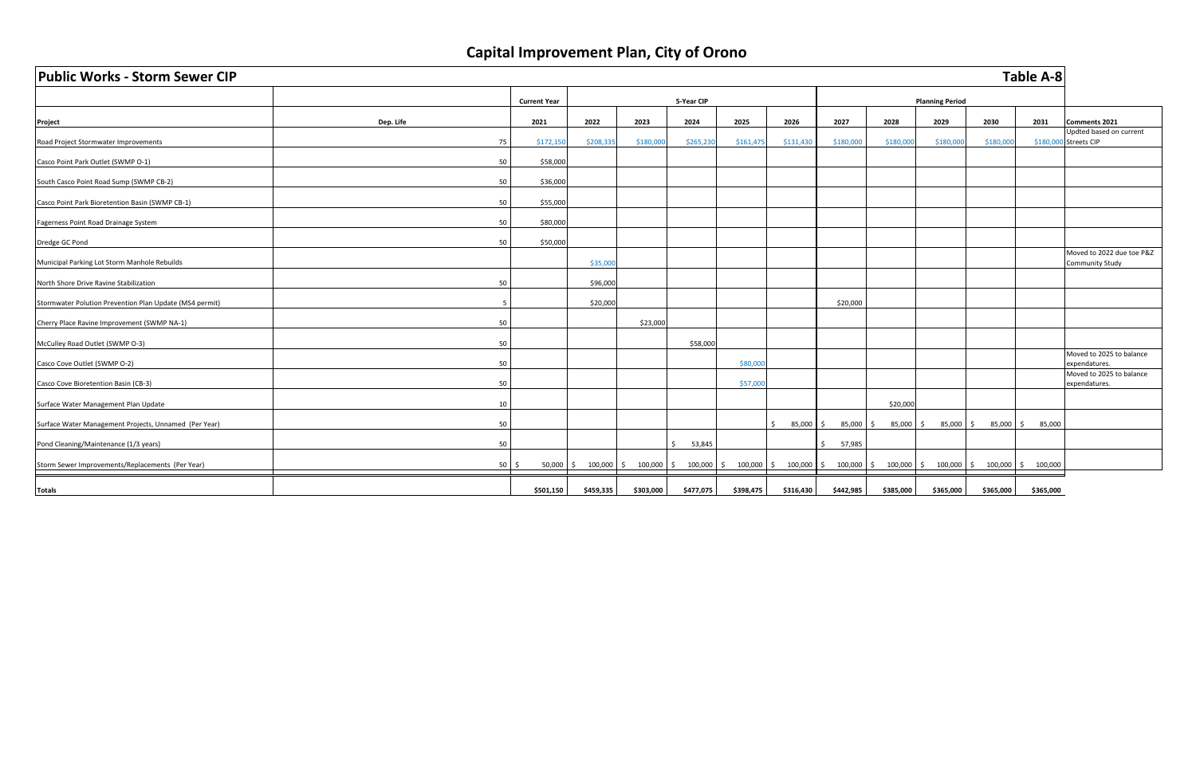| <b>Public Works - Storm Sewer CIP</b>                   |           |    |                     |           |               |                              |           |              |                    |                    |                        |                                     | <b>Table A-8</b> |                                                     |
|---------------------------------------------------------|-----------|----|---------------------|-----------|---------------|------------------------------|-----------|--------------|--------------------|--------------------|------------------------|-------------------------------------|------------------|-----------------------------------------------------|
|                                                         |           |    | <b>Current Year</b> |           |               | 5-Year CIP                   |           |              |                    |                    | <b>Planning Period</b> |                                     |                  |                                                     |
| Project                                                 | Dep. Life |    | 2021                | 2022      | 2023          | 2024                         | 2025      | 2026         | 2027               | 2028               | 2029                   | 2030                                | 2031             | Comments 2021                                       |
| Road Project Stormwater Improvements                    |           | 75 | \$172,15            | \$208,335 | \$180,000     | \$265,230                    | \$161,475 | \$131,430    | \$180,000          | \$180,000          | \$180,000              | \$180,000                           |                  | Updted based on current<br>\$180,000 Streets CIP    |
| Casco Point Park Outlet (SWMP O-1)                      |           | 50 | \$58,000            |           |               |                              |           |              |                    |                    |                        |                                     |                  |                                                     |
| South Casco Point Road Sump (SWMP CB-2)                 |           | 50 | \$36,000            |           |               |                              |           |              |                    |                    |                        |                                     |                  |                                                     |
| Casco Point Park Bioretention Basin (SWMP CB-1)         |           | 50 | \$55,000            |           |               |                              |           |              |                    |                    |                        |                                     |                  |                                                     |
| Fagerness Point Road Drainage System                    |           | 50 | \$80,000            |           |               |                              |           |              |                    |                    |                        |                                     |                  |                                                     |
| Dredge GC Pond                                          |           | 50 | \$50,000            |           |               |                              |           |              |                    |                    |                        |                                     |                  |                                                     |
| Municipal Parking Lot Storm Manhole Rebuilds            |           |    |                     | \$35,000  |               |                              |           |              |                    |                    |                        |                                     |                  | Moved to 2022 due toe P&Z<br><b>Community Study</b> |
| North Shore Drive Ravine Stabilization                  |           | 50 |                     | \$96,000  |               |                              |           |              |                    |                    |                        |                                     |                  |                                                     |
| Stormwater Polution Prevention Plan Update (MS4 permit) |           |    |                     | \$20,000  |               |                              |           |              | \$20,000           |                    |                        |                                     |                  |                                                     |
| Cherry Place Ravine Improvement (SWMP NA-1)             |           | 50 |                     |           | \$23,000      |                              |           |              |                    |                    |                        |                                     |                  |                                                     |
| McCulley Road Outlet (SWMP O-3)                         |           | 50 |                     |           |               | \$58,000                     |           |              |                    |                    |                        |                                     |                  |                                                     |
| Casco Cove Outlet (SWMP O-2)                            |           | 50 |                     |           |               |                              | \$80,00   |              |                    |                    |                        |                                     |                  | Moved to 2025 to balance<br>expendatures.           |
| Casco Cove Bioretention Basin (CB-3)                    |           | 50 |                     |           |               |                              | \$57,00   |              |                    |                    |                        |                                     |                  | Moved to 2025 to balance<br>expendatures.           |
| Surface Water Management Plan Update                    |           | 10 |                     |           |               |                              |           |              |                    | \$20,000           |                        |                                     |                  |                                                     |
| Surface Water Management Projects, Unnamed (Per Year)   |           | 50 |                     |           |               |                              |           | \$<br>85,000 | 85,000<br>S.       | 85,000             | 85,000 \$<br>Ś.        | 85,000 \$                           | 85,000           |                                                     |
| Pond Cleaning/Maintenance (1/3 years)                   |           | 50 |                     |           |               | S.<br>53,845                 |           |              | Š.<br>57,985       |                    |                        |                                     |                  |                                                     |
| Storm Sewer Improvements/Replacements (Per Year)        |           | 50 | 50,000 S<br>-S      | 100,000   | 100,000<br>5. | $100,000$ \$<br>$\mathsf{S}$ | 100,000   | \$           | 100,000 \$ 100,000 | $100,000$ \$<br>S. |                        | $100,000$ \$ $100,000$ \$ $100,000$ |                  |                                                     |
| <b>Totals</b>                                           |           |    | \$501,150           | \$459,335 | \$303,000     | \$477,075                    | \$398,475 | \$316,430    | \$442,985          | \$385,000          | \$365,000              | \$365,000                           | \$365,000        |                                                     |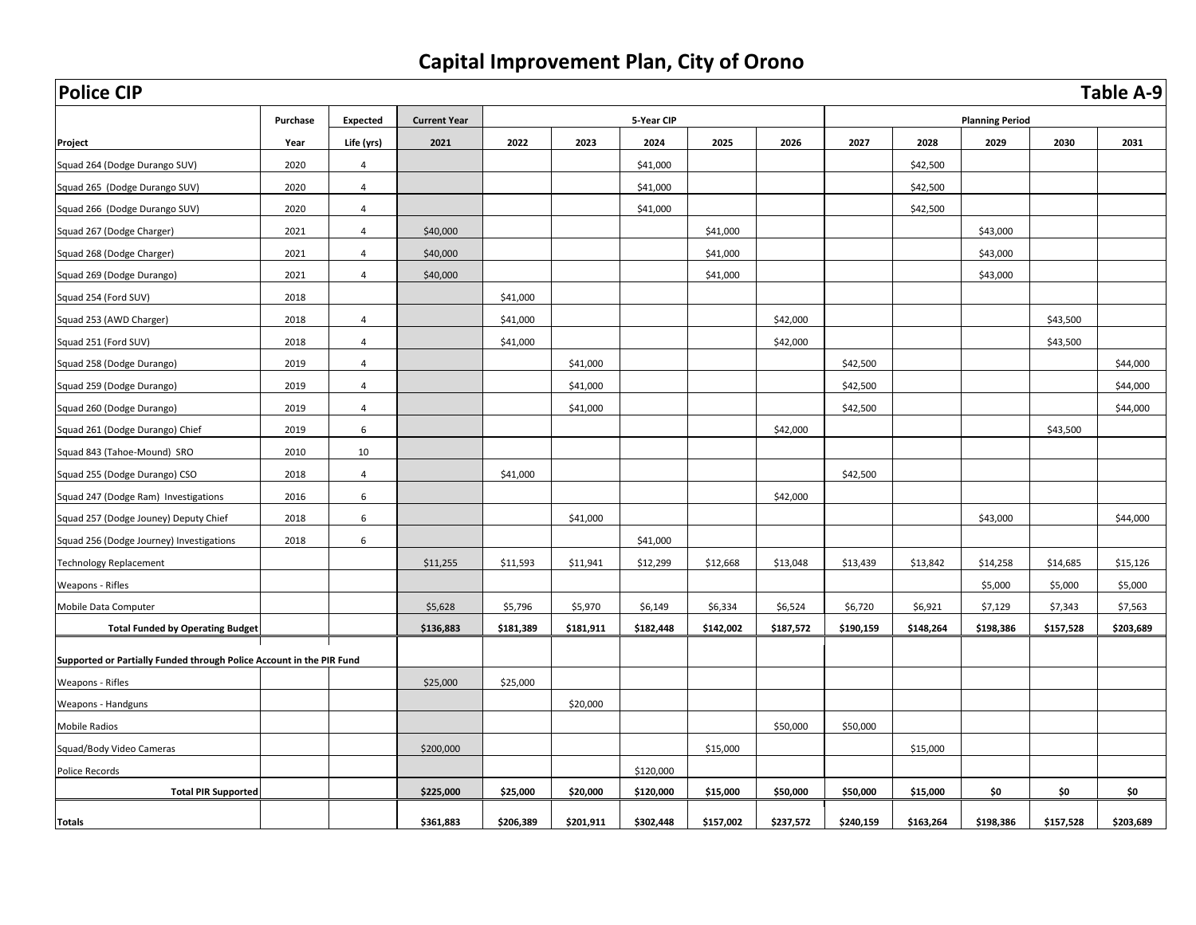| <b>Police CIP</b>                                                    |          |                 |                     |           |           |            |           |           |           |           |                        |           | <b>Table A-9</b> |
|----------------------------------------------------------------------|----------|-----------------|---------------------|-----------|-----------|------------|-----------|-----------|-----------|-----------|------------------------|-----------|------------------|
|                                                                      | Purchase | <b>Expected</b> | <b>Current Year</b> |           |           | 5-Year CIP |           |           |           |           | <b>Planning Period</b> |           |                  |
| Project                                                              | Year     | Life (yrs)      | 2021                | 2022      | 2023      | 2024       | 2025      | 2026      | 2027      | 2028      | 2029                   | 2030      | 2031             |
| Squad 264 (Dodge Durango SUV)                                        | 2020     | $\overline{4}$  |                     |           |           | \$41,000   |           |           |           | \$42,500  |                        |           |                  |
| Squad 265 (Dodge Durango SUV)                                        | 2020     | $\overline{4}$  |                     |           |           | \$41,000   |           |           |           | \$42,500  |                        |           |                  |
| Squad 266 (Dodge Durango SUV)                                        | 2020     | $\overline{4}$  |                     |           |           | \$41,000   |           |           |           | \$42,500  |                        |           |                  |
| Squad 267 (Dodge Charger)                                            | 2021     | $\overline{4}$  | \$40,000            |           |           |            | \$41,000  |           |           |           | \$43,000               |           |                  |
| Squad 268 (Dodge Charger)                                            | 2021     | $\overline{4}$  | \$40,000            |           |           |            | \$41,000  |           |           |           | \$43,000               |           |                  |
| Squad 269 (Dodge Durango)                                            | 2021     | $\overline{4}$  | \$40,000            |           |           |            | \$41,000  |           |           |           | \$43,000               |           |                  |
| Squad 254 (Ford SUV)                                                 | 2018     |                 |                     | \$41,000  |           |            |           |           |           |           |                        |           |                  |
| Squad 253 (AWD Charger)                                              | 2018     | $\overline{4}$  |                     | \$41,000  |           |            |           | \$42,000  |           |           |                        | \$43,500  |                  |
| Squad 251 (Ford SUV)                                                 | 2018     | $\overline{4}$  |                     | \$41,000  |           |            |           | \$42,000  |           |           |                        | \$43,500  |                  |
| Squad 258 (Dodge Durango)                                            | 2019     | $\overline{4}$  |                     |           | \$41,000  |            |           |           | \$42,500  |           |                        |           | \$44,000         |
| Squad 259 (Dodge Durango)                                            | 2019     | 4               |                     |           | \$41,000  |            |           |           | \$42,500  |           |                        |           | \$44,000         |
| Squad 260 (Dodge Durango)                                            | 2019     | $\overline{4}$  |                     |           | \$41,000  |            |           |           | \$42,500  |           |                        |           | \$44,000         |
| Squad 261 (Dodge Durango) Chief                                      | 2019     | 6               |                     |           |           |            |           | \$42,000  |           |           |                        | \$43,500  |                  |
| Squad 843 (Tahoe-Mound) SRO                                          | 2010     | 10              |                     |           |           |            |           |           |           |           |                        |           |                  |
| Squad 255 (Dodge Durango) CSO                                        | 2018     | $\overline{4}$  |                     | \$41,000  |           |            |           |           | \$42,500  |           |                        |           |                  |
| Squad 247 (Dodge Ram) Investigations                                 | 2016     | 6               |                     |           |           |            |           | \$42,000  |           |           |                        |           |                  |
| Squad 257 (Dodge Jouney) Deputy Chief                                | 2018     | 6               |                     |           | \$41,000  |            |           |           |           |           | \$43,000               |           | \$44,000         |
| Squad 256 (Dodge Journey) Investigations                             | 2018     | 6               |                     |           |           | \$41,000   |           |           |           |           |                        |           |                  |
| <b>Technology Replacement</b>                                        |          |                 | \$11,255            | \$11,593  | \$11,941  | \$12,299   | \$12,668  | \$13,048  | \$13,439  | \$13,842  | \$14,258               | \$14,685  | \$15,126         |
| Weapons - Rifles                                                     |          |                 |                     |           |           |            |           |           |           |           | \$5,000                | \$5,000   | \$5,000          |
| Mobile Data Computer                                                 |          |                 | \$5,628             | \$5,796   | \$5,970   | \$6,149    | \$6,334   | \$6,524   | \$6,720   | \$6,921   | \$7,129                | \$7,343   | \$7,563          |
| <b>Total Funded by Operating Budget</b>                              |          |                 | \$136,883           | \$181,389 | \$181,911 | \$182,448  | \$142,002 | \$187,572 | \$190,159 | \$148,264 | \$198,386              | \$157,528 | \$203,689        |
| Supported or Partially Funded through Police Account in the PIR Fund |          |                 |                     |           |           |            |           |           |           |           |                        |           |                  |
| Weapons - Rifles                                                     |          |                 | \$25,000            | \$25,000  |           |            |           |           |           |           |                        |           |                  |
| Weapons - Handguns                                                   |          |                 |                     |           | \$20,000  |            |           |           |           |           |                        |           |                  |
| Mobile Radios                                                        |          |                 |                     |           |           |            |           | \$50,000  | \$50,000  |           |                        |           |                  |
| Squad/Body Video Cameras                                             |          |                 | \$200,000           |           |           |            | \$15,000  |           |           | \$15,000  |                        |           |                  |
| Police Records                                                       |          |                 |                     |           |           | \$120,000  |           |           |           |           |                        |           |                  |
| <b>Total PIR Supported</b>                                           |          |                 | \$225,000           | \$25,000  | \$20,000  | \$120,000  | \$15,000  | \$50,000  | \$50,000  | \$15,000  | \$0                    | \$0       | \$0              |
|                                                                      |          |                 |                     |           |           |            |           |           |           |           |                        |           |                  |
| <b>Totals</b>                                                        |          |                 | \$361,883           | \$206,389 | \$201,911 | \$302,448  | \$157,002 | \$237,572 | \$240,159 | \$163,264 | \$198,386              | \$157,528 | \$203,689        |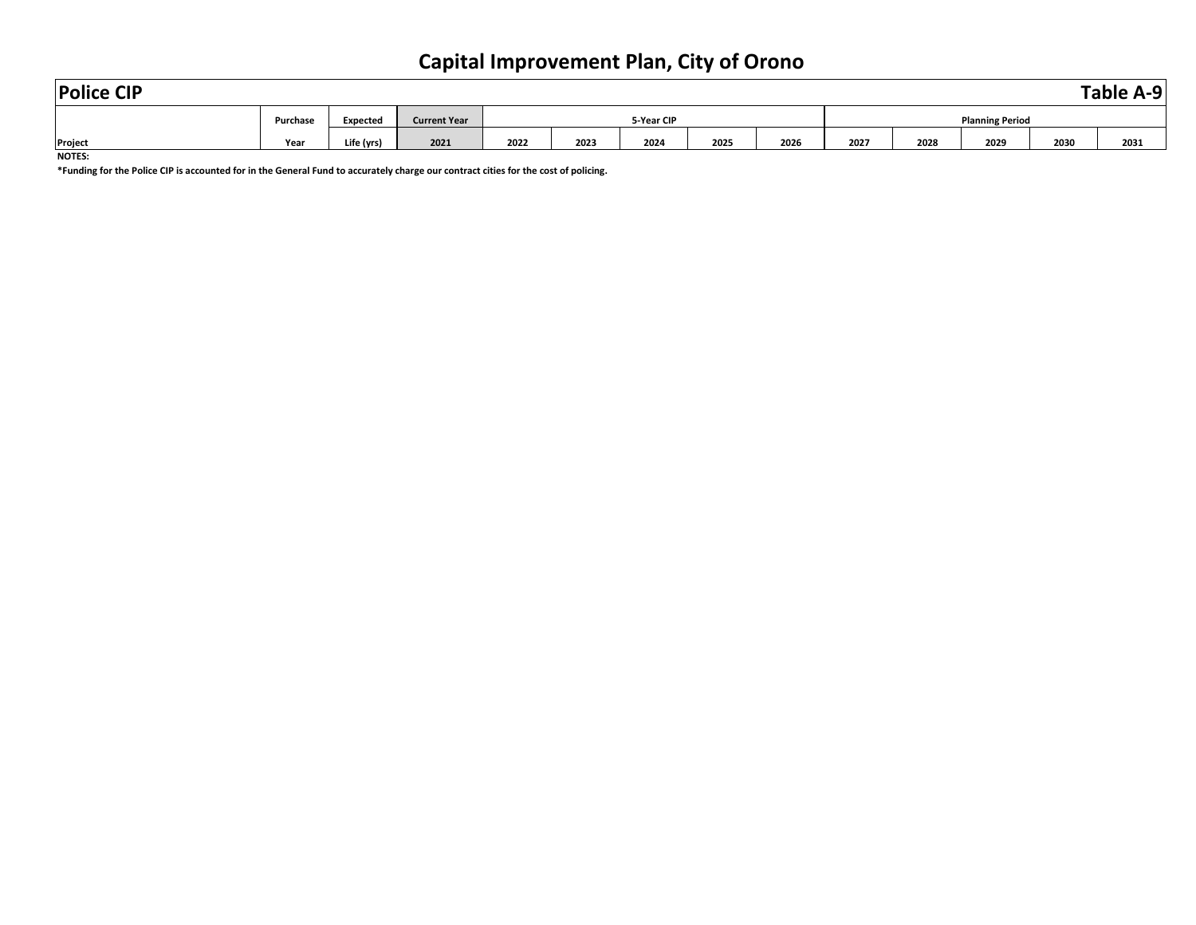| <b>Police CIP</b> |          |                 |                     |      |      |            |      |      |                        |      |      |      | <b>Table</b><br>A-9 |
|-------------------|----------|-----------------|---------------------|------|------|------------|------|------|------------------------|------|------|------|---------------------|
|                   | Purchase | <b>Expected</b> | <b>Current Year</b> |      |      | 5-Year CIP |      |      | <b>Planning Period</b> |      |      |      |                     |
| Project           | Year     | Life (yrs)      | 2021                | 2022 | 2023 | 2024       | 2025 | 2026 | 2027                   | 2028 | 2029 | 2030 | 2031                |

**NOTES:**

**\*Funding for the Police CIP is accounted for in the General Fund to accurately charge our contract cities for the cost of policing.**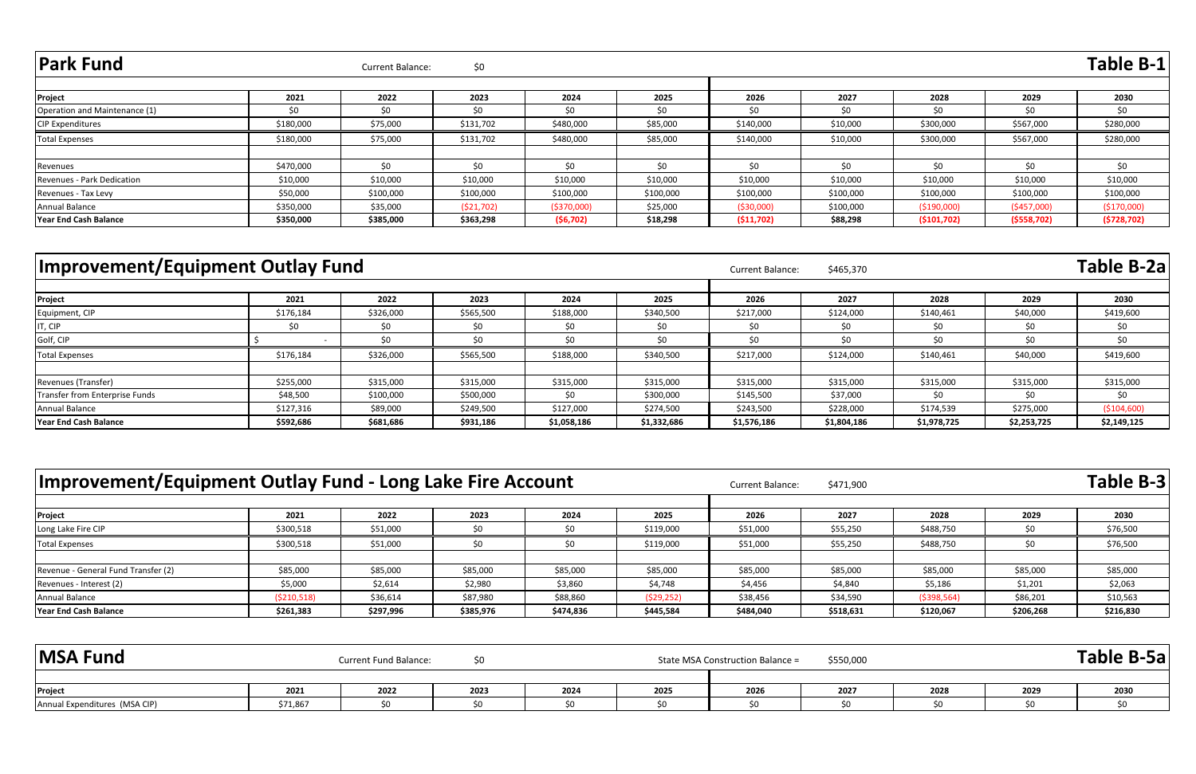| <b>Park Fund</b>              |           | <b>Current Balance:</b> | \$0        |              |           |             |           |               |               | Table B-1    |
|-------------------------------|-----------|-------------------------|------------|--------------|-----------|-------------|-----------|---------------|---------------|--------------|
|                               |           |                         |            |              |           |             |           |               |               |              |
| Project                       | 2021      | 2022                    | 2023       | 2024         | 2025      | 2026        | 2027      | 2028          | 2029          | 2030         |
| Operation and Maintenance (1) | \$0       | \$0                     | \$0        | \$0          | \$0       | \$0         | \$0       | \$0           | \$0           | \$0          |
| <b>CIP Expenditures</b>       | \$180,000 | \$75,000                | \$131,702  | \$480,000    | \$85,000  | \$140,000   | \$10,000  | \$300,000     | \$567,000     | \$280,000    |
| <b>Total Expenses</b>         | \$180,000 | \$75,000                | \$131,702  | \$480,000    | \$85,000  | \$140,000   | \$10,000  | \$300,000     | \$567,000     | \$280,000    |
|                               |           |                         |            |              |           |             |           |               |               |              |
| Revenues                      | \$470,000 | SO.                     | SO.        | \$0          | \$0       | \$0         | \$0       | \$0           | \$0           | \$0          |
| Revenues - Park Dedication    | \$10,000  | \$10,000                | \$10,000   | \$10,000     | \$10,000  | \$10,000    | \$10,000  | \$10,000      | \$10,000      | \$10,000     |
| Revenues - Tax Levy           | \$50,000  | \$100,000               | \$100,000  | \$100,000    | \$100,000 | \$100,000   | \$100,000 | \$100,000     | \$100,000     | \$100,000    |
| <b>Annual Balance</b>         | \$350,000 | \$35,000                | (521, 702) | ( \$370,000) | \$25,000  | ( \$30,000) | \$100,000 | ( \$190,000]  | (\$457,000)   | ( \$170,000] |
| <b>Year End Cash Balance</b>  | \$350,000 | \$385,000               | \$363,298  | (56, 702)    | \$18,298  | ( \$11,702) | \$88,298  | ( \$101, 702) | ( \$558, 702) | (5728, 702)  |

## **Improvement/Equipment Outlay Fund** Current Balance: \$465,370 **Table B-2a**

**Project 2021 2022 2023 2024 2025 2026 2027 2028 2029 2030** Equipment, CIP \$176,184 | \$326,000 | \$565,500 | \$340,500 | \$217,000 | \$124,000 | \$10,461 | \$40,000 | \$419,600 IT, CIP \$0 \$0 \$0 \$0 \$0 \$0 \$0 \$0 \$0 \$0 Golf, CIP \$ - \$0 \$0 \$0 \$0 \$0 \$0 \$0 \$0 \$0 Total Expenses \$176,184 | \$326,000 | \$565,500 | \$340,500 | \$217,000 | \$124,000 | \$140,461 | \$40,000 | \$419,600 Revenues (Transfer) \$255,000 \$315,000 \$315,000 \$315,000 \$315,000 \$315,000 \$315,000 \$315,000 \$315,000 Transfer from Enterprise Funds **Exacus Enterprise Funds** \$48,500 \$48,500 \$48,500 \$148,500 \$145,500 \$37,000 \$37,000 Annual Balance \$127,316 | \$89,000 | \$249,500 | \$277,000 \$274,500 \$273,500 \$275,000 (\$104,600) **Year End Cash Balance \$592,686 \$681,686 \$931,186 \$1,058,186 \$1,332,686 \$1,576,186 \$1,804,186 \$1,978,725 \$2,253,725 \$2,149,125**

| Improvement/Equipment Outlay Fund - Long Lake Fire Account |              |           |           |           | <b>Current Balance:</b> |           | Table B-3 |               |           |           |
|------------------------------------------------------------|--------------|-----------|-----------|-----------|-------------------------|-----------|-----------|---------------|-----------|-----------|
| Project                                                    | 2021         | 2022      | 2023      | 2024      | 2025                    | 2026      | 2027      | 2028          | 2029      | 2030      |
| Long Lake Fire CIP                                         | \$300,518    | \$51,000  | \$0       | - \$0     | \$119,000               | \$51,000  | \$55,250  | \$488,750     |           | \$76,500  |
| <b>Total Expenses</b>                                      | \$300,518    | \$51,000  | \$0       | \$0       | \$119,000               | \$51,000  | \$55,250  | \$488,750     |           | \$76,500  |
|                                                            |              |           |           |           |                         |           |           |               |           |           |
| Revenue - General Fund Transfer (2)                        | \$85,000     | \$85,000  | \$85,000  | \$85,000  | \$85,000                | \$85,000  | \$85,000  | \$85,000      | \$85,000  | \$85,000  |
| Revenues - Interest (2)                                    | \$5,000      | \$2,614   | \$2,980   | \$3,860   | \$4,748                 | \$4,456   | \$4,840   | \$5,186       | \$1,201   | \$2,063   |
| <b>Annual Balance</b>                                      | ( \$210,518) | \$36,614  | \$87,980  | \$88,860  | (529, 252)              | \$38,456  | \$34,590  | ( \$398, 564) | \$86,201  | \$10,563  |
| <b>Year End Cash Balance</b>                               | \$261,383    | \$297,996 | \$385,976 | \$474,836 | \$445,584               | \$484,040 | \$518,631 | \$120,067     | \$206,268 | \$216,830 |

| <b>MSA Fund</b>               |          | <b>Current Fund Balance:</b> |      |      |      | State MSA Construction Balance = | \$550,000 |      |      | - B-5a<br><b>Table</b> |
|-------------------------------|----------|------------------------------|------|------|------|----------------------------------|-----------|------|------|------------------------|
|                               |          |                              |      |      |      |                                  |           |      |      |                        |
| Project                       | 2021     | 2022                         | 2023 | 2024 | 2025 | 2026                             | 2027      | 2028 | 2029 | 2030                   |
| Annual Expenditures (MSA CIP) | \$71,867 |                              |      |      |      |                                  |           |      |      |                        |

| 2028        | 2029        | 2030          |
|-------------|-------------|---------------|
| \$140,461   | \$40,000    | \$419,600     |
| \$0         | \$0         | \$0           |
| \$0         | \$0         | \$0           |
| \$140,461   | \$40,000    | \$419,600     |
|             |             |               |
| \$315,000   | \$315,000   | \$315,000     |
| \$0         | \$0         | \$0           |
| \$174,539   | \$275,000   | ( \$104, 600) |
| \$1,978,725 | \$2,253,725 | \$2,149,125   |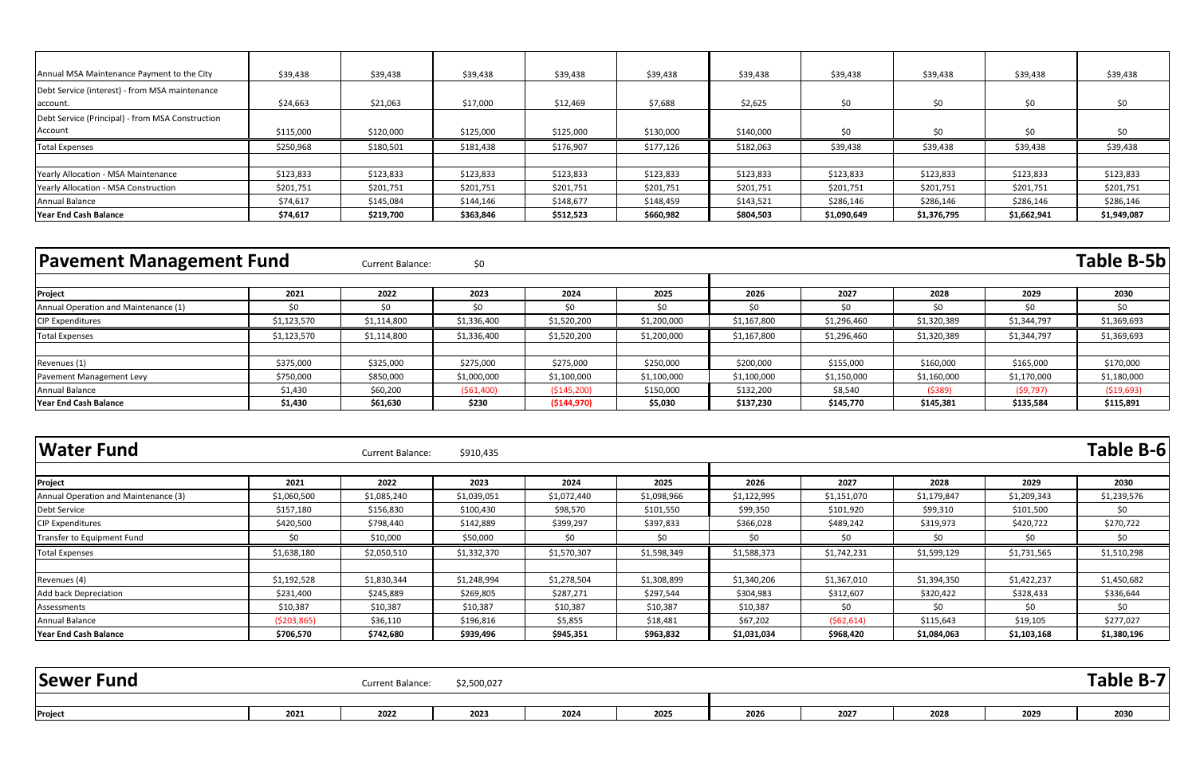| Annual MSA Maintenance Payment to the City                  | \$39,438  | \$39,438  | \$39,438  | \$39,438  | \$39,438  | \$39,438  | \$39,438    | \$39,438    | \$39,438    | \$39,438    |
|-------------------------------------------------------------|-----------|-----------|-----------|-----------|-----------|-----------|-------------|-------------|-------------|-------------|
| Debt Service (interest) - from MSA maintenance<br>account.  | \$24,663  | \$21,063  | \$17,000  | \$12,469  | \$7,688   | \$2,625   | \$0         | \$0         | \$0         | \$0         |
| Debt Service (Principal) - from MSA Construction<br>Account | \$115,000 | \$120,000 | \$125,000 | \$125,000 | \$130,000 | \$140,000 | \$0         | \$0         | \$0         | \$0         |
| <b>Total Expenses</b>                                       | \$250,968 | \$180,501 | \$181,438 | \$176,907 | \$177,126 | \$182,063 | \$39,438    | \$39,438    | \$39,438    | \$39,438    |
|                                                             |           |           |           |           |           |           |             |             |             |             |
| <b>Yearly Allocation - MSA Maintenance</b>                  | \$123,833 | \$123,833 | \$123,833 | \$123,833 | \$123,833 | \$123,833 | \$123,833   | \$123,833   | \$123,833   | \$123,833   |
| Yearly Allocation - MSA Construction                        | \$201,751 | \$201,751 | \$201,751 | \$201,751 | \$201,751 | \$201,751 | \$201,751   | \$201,751   | \$201,751   | \$201,751   |
| Annual Balance                                              | \$74,617  | \$145,084 | \$144,146 | \$148,677 | \$148,459 | \$143,521 | \$286,146   | \$286,146   | \$286,146   | \$286,146   |
| Year End Cash Balance                                       | \$74,617  | \$219,700 | \$363,846 | \$512,523 | \$660,982 | \$804,503 | \$1,090,649 | \$1,376,795 | \$1,662,941 | \$1,949,087 |

# **Pavement Management Fund** Current Balance: \$0 50

| Project                              | 2021        | 2022        | 2023        | 2024          | 2025        | 2026        | 2027        | 2028        | 2029        | 2030        |
|--------------------------------------|-------------|-------------|-------------|---------------|-------------|-------------|-------------|-------------|-------------|-------------|
| Annual Operation and Maintenance (1) |             |             |             |               | <b>SO</b>   |             | \$0         | ¢٢          |             |             |
| <b>CIP Expenditures</b>              | \$1,123,570 | \$1,114,800 | \$1,336,400 | \$1,520,200   | \$1,200,000 | \$1,167,800 | \$1,296,460 | \$1,320,389 | \$1,344,797 | \$1,369,693 |
| <b>Total Expenses</b>                | \$1,123,570 | \$1,114,800 | \$1,336,400 | \$1,520,200   | \$1,200,000 | \$1,167,800 | \$1,296,460 | \$1,320,389 | \$1,344,797 | \$1,369,693 |
|                                      |             |             |             |               |             |             |             |             |             |             |
| Revenues (1)                         | \$375,000   | \$325,000   | \$275,000   | \$275,000     | \$250,000   | \$200,000   | \$155,000   | \$160,000   | \$165,000   | \$170,000   |
| Pavement Management Levy             | \$750,000   | \$850,000   | \$1,000,000 | \$1,100,000   | \$1,100,000 | \$1,100,000 | \$1,150,000 | \$1,160,000 | \$1,170,000 | \$1,180,000 |
| Annual Balance                       | \$1,430     | \$60,200    | ( \$61,400) | ( \$145, 200) | \$150,000   | \$132,200   | \$8,540     | (5389)      | (\$9,797)   | ( \$19,693) |
| <b>Year End Cash Balance</b>         | \$1,430     | \$61,630    | \$230       | (5144, 970)   | \$5,030     | \$137,230   | \$145,770   | \$145,381   | \$135,584   | \$115,891   |

## Water Fund **12001 Current Balance:** \$910,435 **12011 Current Balance:** \$910,435 **12011 Table B-6**

| Project                              | 2021        | 2022        | 2023        | 2024        | 2025        | 2026        | 2027        | 2028        | 2029        | 2030        |
|--------------------------------------|-------------|-------------|-------------|-------------|-------------|-------------|-------------|-------------|-------------|-------------|
| Annual Operation and Maintenance (3) | \$1,060,500 | \$1,085,240 | \$1,039,051 | \$1,072,440 | \$1,098,966 | \$1,122,995 | \$1,151,070 | \$1,179,847 | \$1,209,343 | \$1,239,576 |
| Debt Service                         | \$157,180   | \$156,830   | \$100,430   | \$98,570    | \$101,550   | \$99,350    | \$101,920   | \$99,310    | \$101,500   | \$0         |
| <b>CIP Expenditures</b>              | \$420,500   | \$798,440   | \$142,889   | \$399,297   | \$397,833   | \$366,028   | \$489,242   | \$319,973   | \$420,722   | \$270,722   |
| Transfer to Equipment Fund           | ¢٢          | \$10,000    | \$50,000    | \$0         | \$0         | \$0         |             | \$0         | \$0         | \$0         |
| <b>Total Expenses</b>                | \$1,638,180 | \$2,050,510 | \$1,332,370 | \$1,570,307 | \$1,598,349 | \$1,588,373 | \$1,742,231 | \$1,599,129 | \$1,731,565 | \$1,510,298 |
|                                      |             |             |             |             |             |             |             |             |             |             |
| Revenues (4)                         | \$1,192,528 | \$1,830,344 | \$1,248,994 | \$1,278,504 | \$1,308,899 | \$1,340,206 | \$1,367,010 | \$1,394,350 | \$1,422,237 | \$1,450,682 |
| <b>Add back Depreciation</b>         | \$231,400   | \$245,889   | \$269,805   | \$287,271   | \$297,544   | \$304,983   | \$312,607   | \$320,422   | \$328,433   | \$336,644   |
| Assessments                          | \$10,387    | \$10,387    | \$10,387    | \$10,387    | \$10,387    | \$10,387    |             | ς٢          | SO.         | \$0         |
| <b>Annual Balance</b>                | (5203, 865) | \$36,110    | \$196,816   | \$5,855     | \$18,481    | \$67,202    | (562, 614)  | \$115,643   | \$19,105    | \$277,027   |
| <b>Year End Cash Balance</b>         | \$706,570   | \$742,680   | \$939,496   | \$945,351   | \$963,832   | \$1,031,034 | \$968,420   | \$1,084,063 | \$1,103,168 | \$1,380,196 |

| <b>Sewer</b><br>Func |      | Current Balance: | \$2,500,027 |      |      |      |      |      |      | <sup>-</sup> able<br>-- |
|----------------------|------|------------------|-------------|------|------|------|------|------|------|-------------------------|
|                      |      |                  |             |      |      |      |      |      |      |                         |
| Project              | 2021 | 2022             | 2023        | 2024 | 2025 | 2026 | 2027 | 2028 | 2029 | 2030                    |